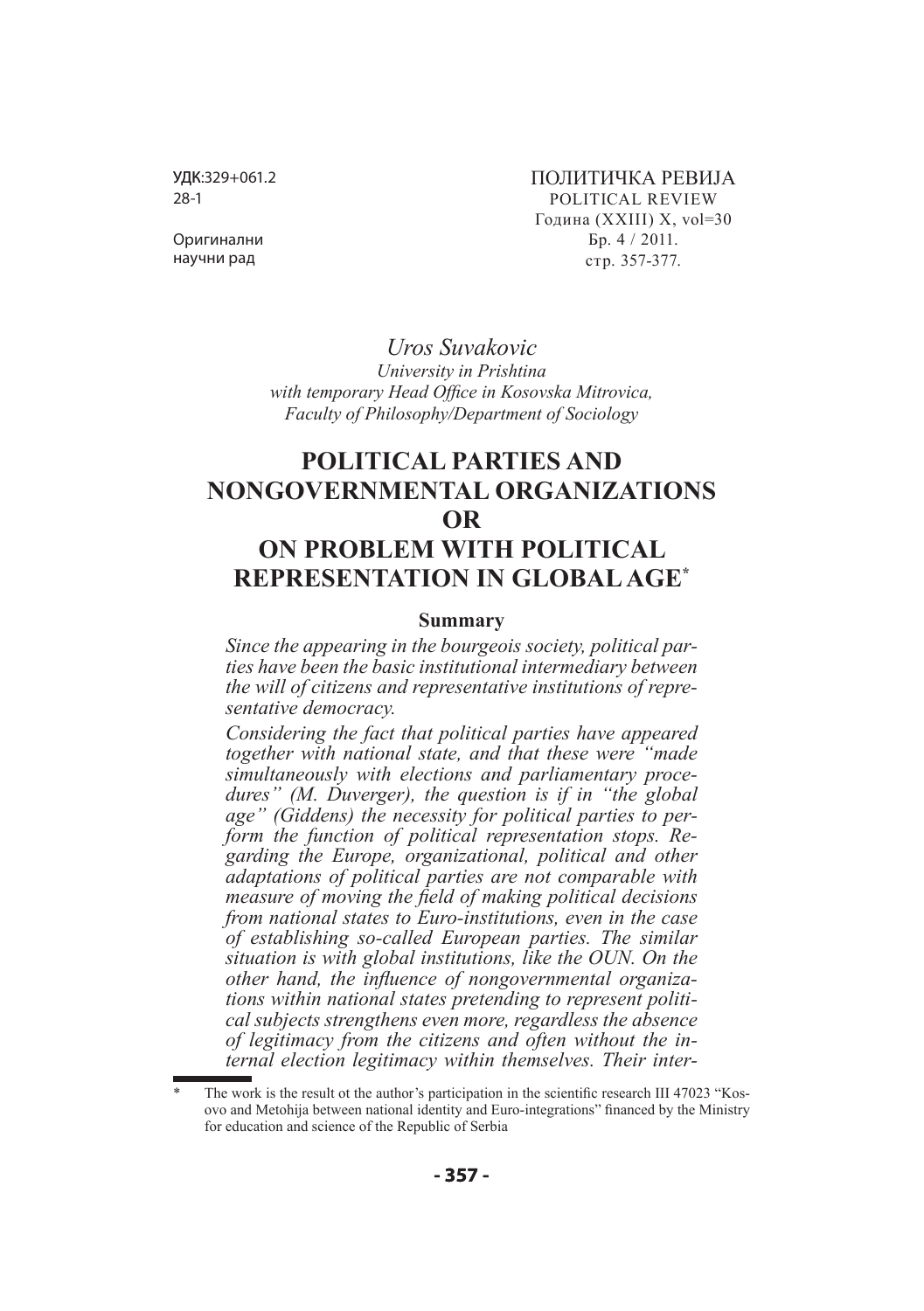УДК:329+061.2 28-1

ПОЛИТИЧКА РЕВИЈА POLITICAL REVIEW Година (XXIII) X, vol=30 Бр. 4 / 2011. стр. 357-377.

Оригинални научни рад

> *Uros Suvakovic University in Prishtinа with temporary Head Office in Kosovska Mitrovica, Faculty of Philosophy/Department of Sociology*

# **POLITICAL PARTIES AND NONGOVERNMENTAL ORGANIZATIONS OR ON PROBLEM WITH POLITICAL REPRESENTATION IN GLOBAL AGE\***

#### **Summаry**

*Since the appearing in the bourgeois society, political parties have been the basic institutional intermediary between the will of citizens and representative institutions of representative democracy.*

*Considering the fact that political parties have appeared together with national state, and that these were "made simultaneously with elections and parliamentary procedures" (M. Duverger), the question is if in "the global age" (Giddens) the necessity for political parties to perform the function of political representation stops. Regarding the Europe, organizational, political and other adaptations of political parties are not comparable with measure of moving the field of making political decisions from national states to Euro-institutions, еven in the case of establishing so-called European parties. The similar situation is with global institutions, like the OUN. On the other hand, the influence of nongovernmental organizations within national states pretending to represent political subjects strengthens even more, regardless the absence of legitimacy from the citizens and often without the internal election legitimacy within themselves. Their inter-*

The work is the result ot the author's participation in the scientific research III 47023 "Kosovo and Metohija between national identity and Euro-integrations" financed by the Ministry for education and science of the Republic of Serbia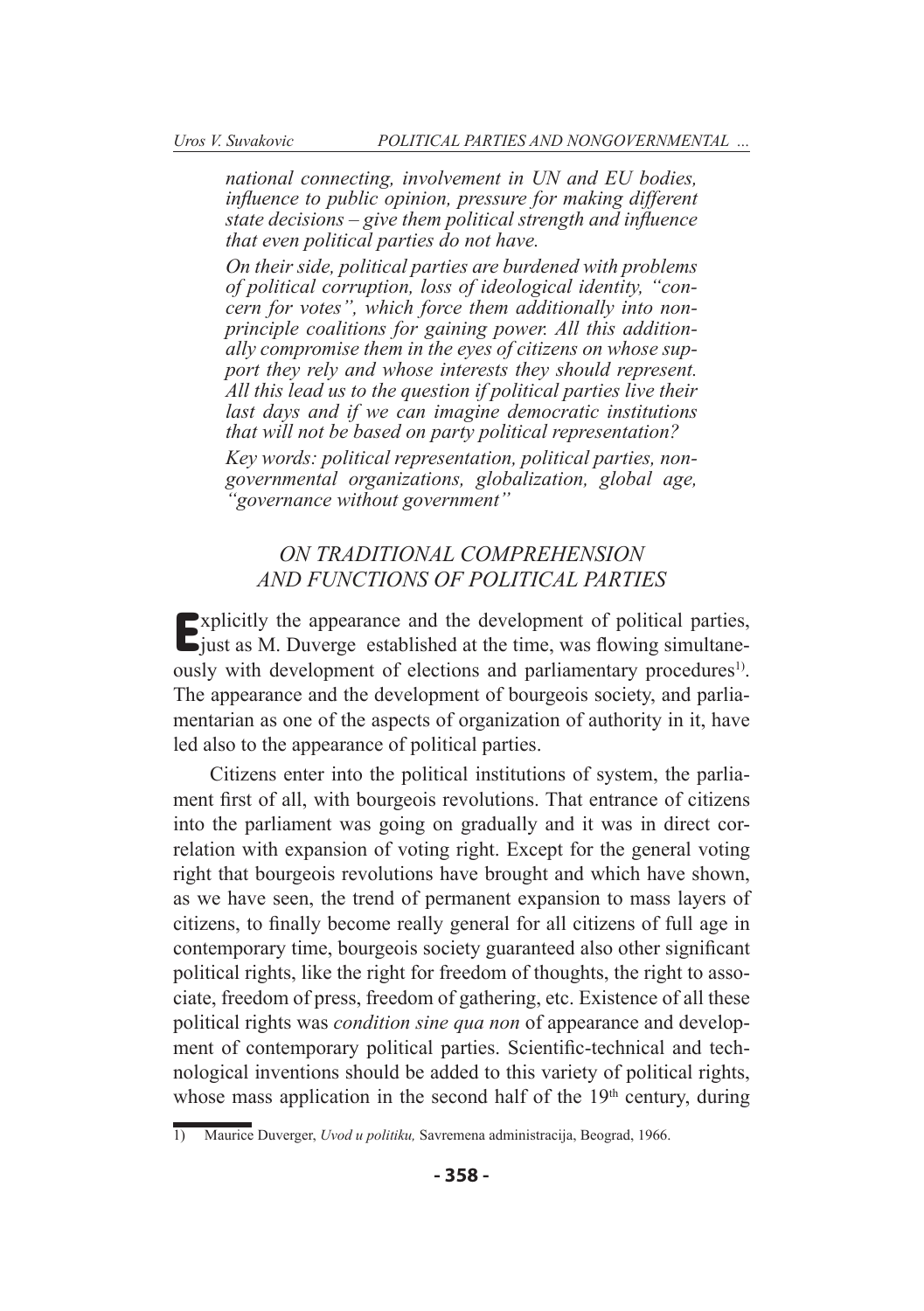*national connecting, involvement in UN and EU bodies, influence to public opinion, pressure for making different state decisions – give them political strength and influence that even political parties do not have.*

*On their side, political parties are burdened with problems of political corruption, loss of ideological identity, "concern for votes", which force them additionally into nonprinciple coalitions for gaining power. All this additionally compromise them in the eyes of citizens on whose support they rely and whose interests they should represent. All this lead us to the question if political parties live their last days and if we can imagine democratic institutions that will not be based on party political representation? Key words: political representation, political parties, nongovernmental organizations, globalization, global age, "governance without government"*

## *ON TRADITIONAL COMPREHENSION AND FUNCTIONS OF POLITICAL PARTIES*

Explicitly the appearance and the development of political parties, just as M. Duverge established at the time, was flowing simultaneously with development of elections and parliamentary procedures<sup>1)</sup>. The appearance and the development of bourgeois society, and parliamentarian as one of the aspects of organization of authority in it, have led also to the appearance of political parties.

Citizens enter into the political institutions of system, the parliament first of all, with bourgeois revolutions. That entrance of citizens into the parliament was going on gradually and it was in direct correlation with expansion of voting right. Except for the general voting right that bourgeois revolutions have brought and which have shown, as we have seen, the trend of permanent expansion to mass layers of citizens, to finally become really general for all citizens of full age in contemporary time, bourgeois society guaranteed also other significant political rights, like the right for freedom of thoughts, the right to associate, freedom of press, freedom of gathering, etc. Existence of all these political rights was *condition sine qua non* of appearance and development of contemporary political parties. Scientific-technical and technological inventions should be added to this variety of political rights, whose mass application in the second half of the  $19<sup>th</sup>$  century, during

<sup>1)</sup> Maurice Duverger, *Uvod u politiku,* Savremena administracija, Beograd, 1966.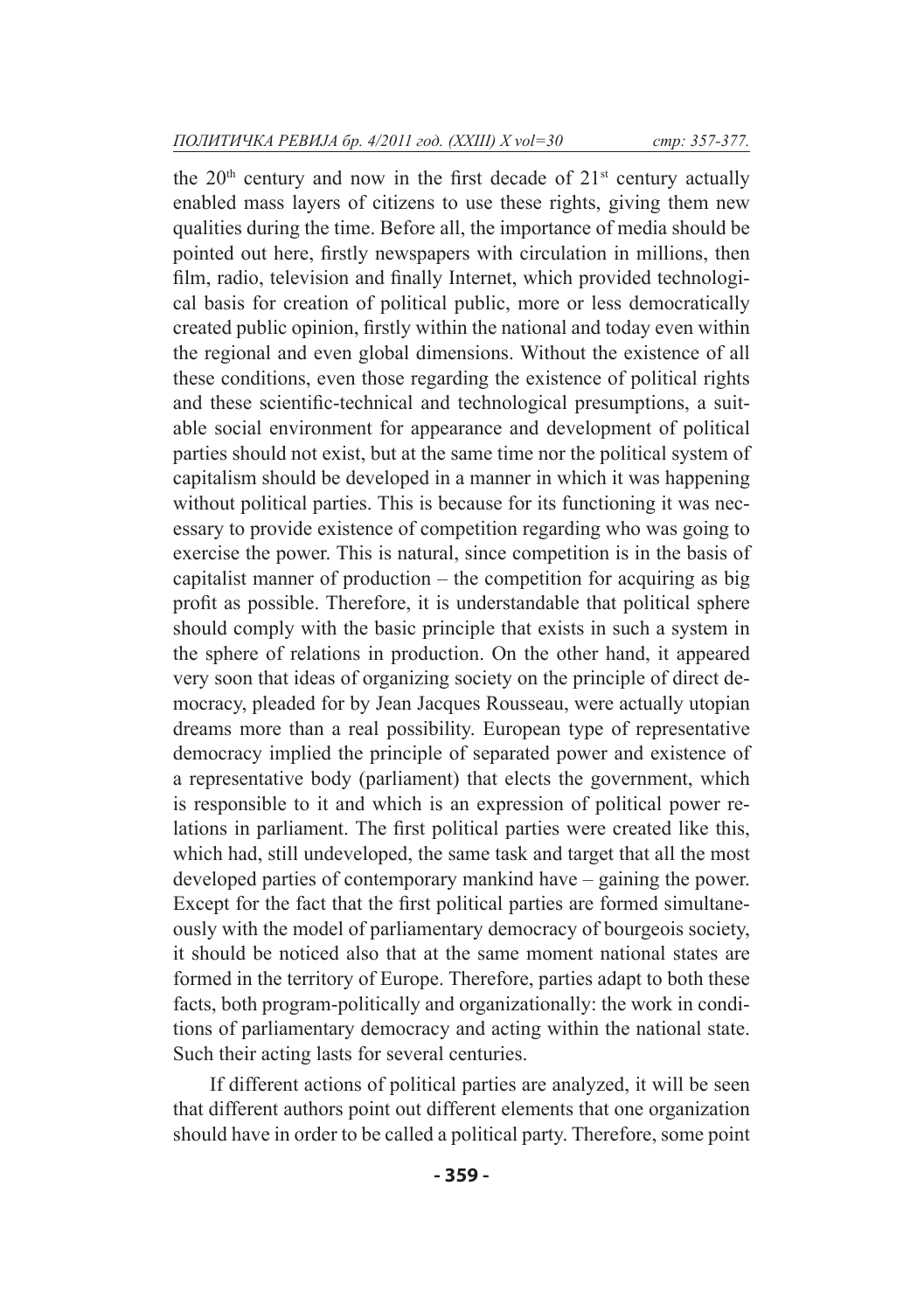the  $20<sup>th</sup>$  century and now in the first decade of  $21<sup>st</sup>$  century actually enabled mass layers of citizens to use these rights, giving them new qualities during the time. Before all, the importance of media should be pointed out here, firstly newspapers with circulation in millions, then film, radio, television and finally Internet, which provided technological basis for creation of political public, more or less democratically created public opinion, firstly within the national and today even within the regional and even global dimensions. Without the existence of all these conditions, even those regarding the existence of political rights and these scientific-technical and technological presumptions, a suitable social environment for appearance and development of political parties should not exist, but at the same time nor the political system of capitalism should be developed in a manner in which it was happening without political parties. This is because for its functioning it was necessary to provide existence of competition regarding who was going to exercise the power. This is natural, since competition is in the basis of capitalist manner of production – the competition for acquiring as big profit as possible. Therefore, it is understandable that political sphere should comply with the basic principle that exists in such a system in the sphere of relations in production. On the other hand, it appeared very soon that ideas of organizing society on the principle of direct democracy, pleaded for by Jean Jacques Rousseau, were actually utopian dreams more than a real possibility. European type of representative democracy implied the principle of separated power and existence of a representative body (parliament) that elects the government, which is responsible to it and which is an expression of political power relations in parliament. The first political parties were created like this, which had, still undeveloped, the same task and target that all the most developed parties of contemporary mankind have – gaining the power. Except for the fact that the first political parties are formed simultaneously with the model of parliamentary democracy of bourgeois society, it should be noticed also that at the same moment national states are formed in the territory of Europe. Therefore, parties adapt to both these facts, both program-politically and organizationally: the work in conditions of parliamentary democracy and acting within the national state. Such their acting lasts for several centuries.

If different actions of political parties are analyzed, it will be seen that different authors point out different elements that one organization should have in order to be called a political party. Therefore, some point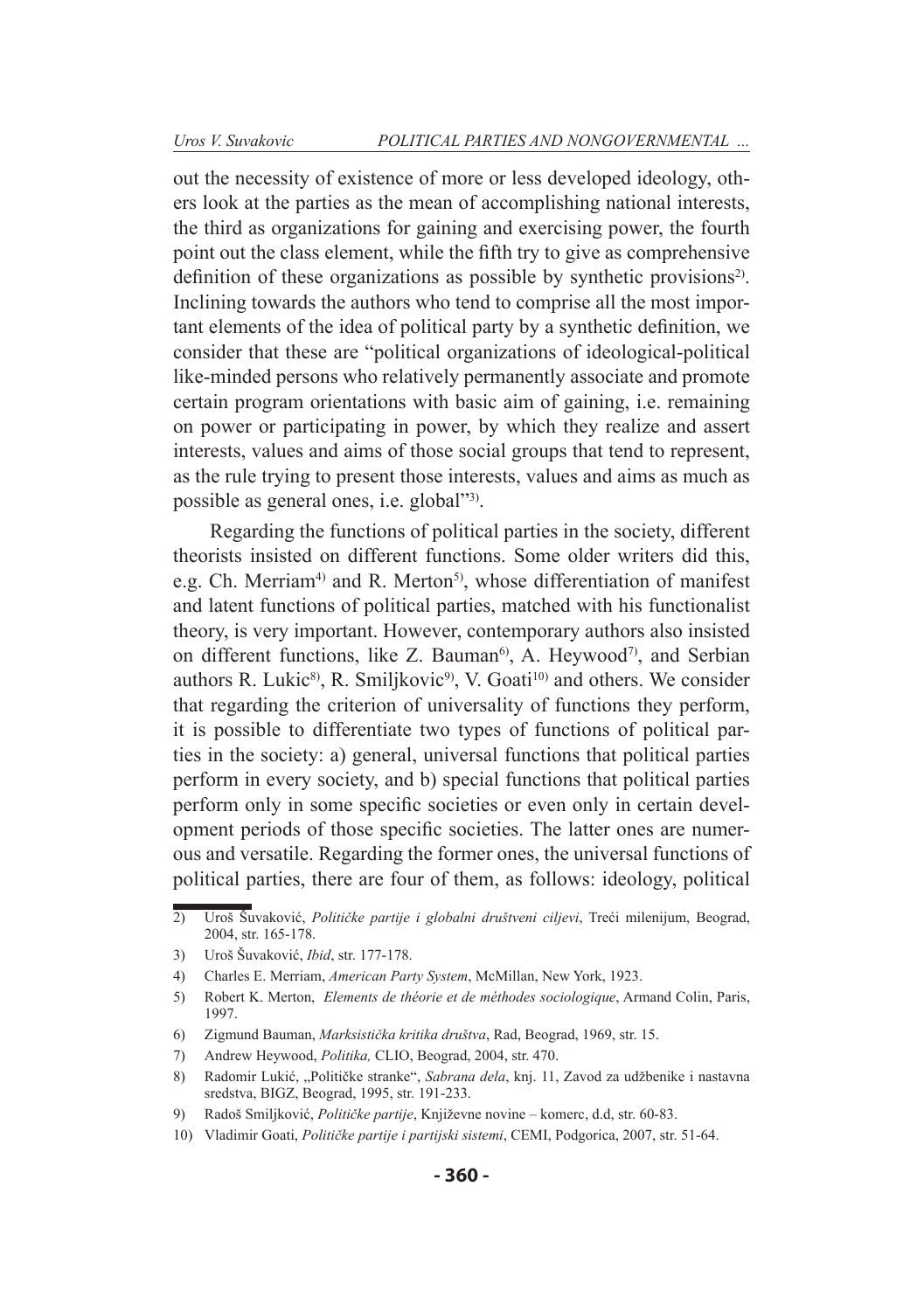out the necessity of existence of more or less developed ideology, others look at the parties as the mean of accomplishing national interests, the third as organizations for gaining and exercising power, the fourth point out the class element, while the fifth try to give as comprehensive definition of these organizations as possible by synthetic provisions<sup>2)</sup>. Inclining towards the authors who tend to comprise all the most important elements of the idea of political party by a synthetic definition, we consider that these are "political organizations of ideological-political like-minded persons who relatively permanently associate and promote certain program orientations with basic aim of gaining, i.e. remaining on power or participating in power, by which they realize and assert interests, values and aims of those social groups that tend to represent, as the rule trying to present those interests, values and aims as much as possible as general ones, i.e. global"3).

Regarding the functions of political parties in the society, different theorists insisted on different functions. Some older writers did this, e.g. Ch. Merriam<sup>4)</sup> and R. Merton<sup>5)</sup>, whose differentiation of manifest and latent functions of political parties, matched with his functionalist theory, is very important. However, contemporary authors also insisted on different functions, like Z. Bauman<sup>6)</sup>, A. Heywood<sup>7)</sup>, and Serbian authors R. Lukic<sup>8)</sup>, R. Smiljkovic<sup>9)</sup>, V. Goati<sup>10)</sup> and others. We consider that regarding the criterion of universality of functions they perform, it is possible to differentiate two types of functions of political parties in the society: a) general, universal functions that political parties perform in every society, and b) special functions that political parties perform only in some specific societies or even only in certain development periods of those specific societies. The latter ones are numerous and versatile. Regarding the former ones, the universal functions of political parties, there are four of them, as follows: ideology, political

<sup>2)</sup> Uroš Šuvaković, *Političke partije i globalni društveni ciljevi*, Treći milenijum, Beograd, 2004, str. 165-178.

<sup>3)</sup> Uroš Šuvaković, *Ibid*, str. 177-178.

<sup>4)</sup> Charles E. Merriam, *American Party System*, McMillan, New York, 1923.

<sup>5)</sup> Robert K. Merton, *Elements de théorie et de méthodes sociologique*, Armand Colin, Paris, 1997.

<sup>6)</sup> Zigmund Bauman, *Marksistička kritika društva*, Rad, Beograd, 1969, str. 15.

<sup>7)</sup> Andrew Heywood, *Politika,* CLIO, Beograd, 2004, str. 470.

<sup>8)</sup> Radomir Lukić, "Političke stranke", *Sabrana dela*, knj. 11, Zavod za udžbenike i nastavna sredstva, BIGZ, Beograd, 1995, str. 191-233.

<sup>9)</sup> Radoš Smiljković, *Političke partije*, Književne novine – komerc, d.d, str. 60-83.

<sup>10)</sup> Vladimir Goati, *Političke partije i partijski sistemi*, CEMI, Podgorica, 2007, str. 51-64.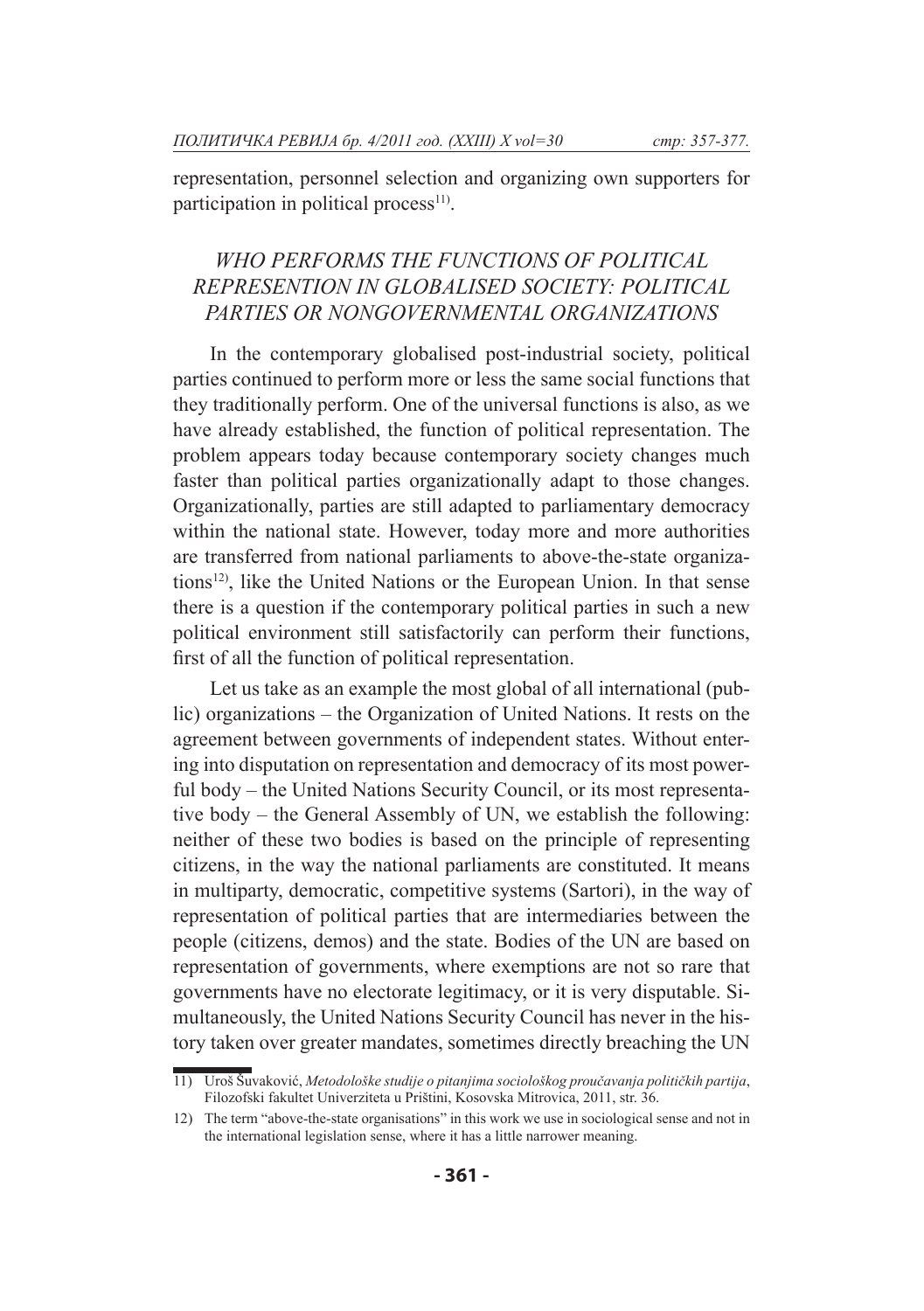representation, personnel selection and organizing own supporters for participation in political process $11$ .

# *WHO PERFORMS THE FUNCTIONS OF POLITICAL REPRESENTION IN GLOBALISED SOCIETY: POLITICAL PARTIES OR NONGOVERNMENTAL ORGANIZATIONS*

In the contemporary globalised post-industrial society, political parties continued to perform more or less the same social functions that they traditionally perform. One of the universal functions is also, as we have already established, the function of political representation. The problem appears today because contemporary society changes much faster than political parties organizationally adapt to those changes. Organizationally, parties are still adapted to parliamentary democracy within the national state. However, today more and more authorities are transferred from national parliaments to above-the-state organizations<sup>12)</sup>, like the United Nations or the European Union. In that sense there is a question if the contemporary political parties in such a new political environment still satisfactorily can perform their functions, first of all the function of political representation.

Let us take as an example the most global of all international (public) organizations – the Organization of United Nations. It rests on the agreement between governments of independent states. Without entering into disputation on representation and democracy of its most powerful body – the United Nations Security Council, or its most representative body – the General Assembly of UN, we establish the following: neither of these two bodies is based on the principle of representing citizens, in the way the national parliaments are constituted. It means in multiparty, democratic, competitive systems (Sartori), in the way of representation of political parties that are intermediaries between the people (citizens, demos) and the state. Bodies of the UN are based on representation of governments, where exemptions are not so rare that governments have no electorate legitimacy, or it is very disputable. Simultaneously, the United Nations Security Council has never in the history taken over greater mandates, sometimes directly breaching the UN

<sup>11)</sup> Uroš Šuvaković, *Metodološke studije o pitanjima sociološkog proučavanja političkih partija*, Filozofski fakultet Univerziteta u Prištini, Kosovska Mitrovica, 2011, str. 36.

<sup>12)</sup> The term "above-the-state organisations" in this work we use in sociological sense and not in the international legislation sense, where it has a little narrower meaning.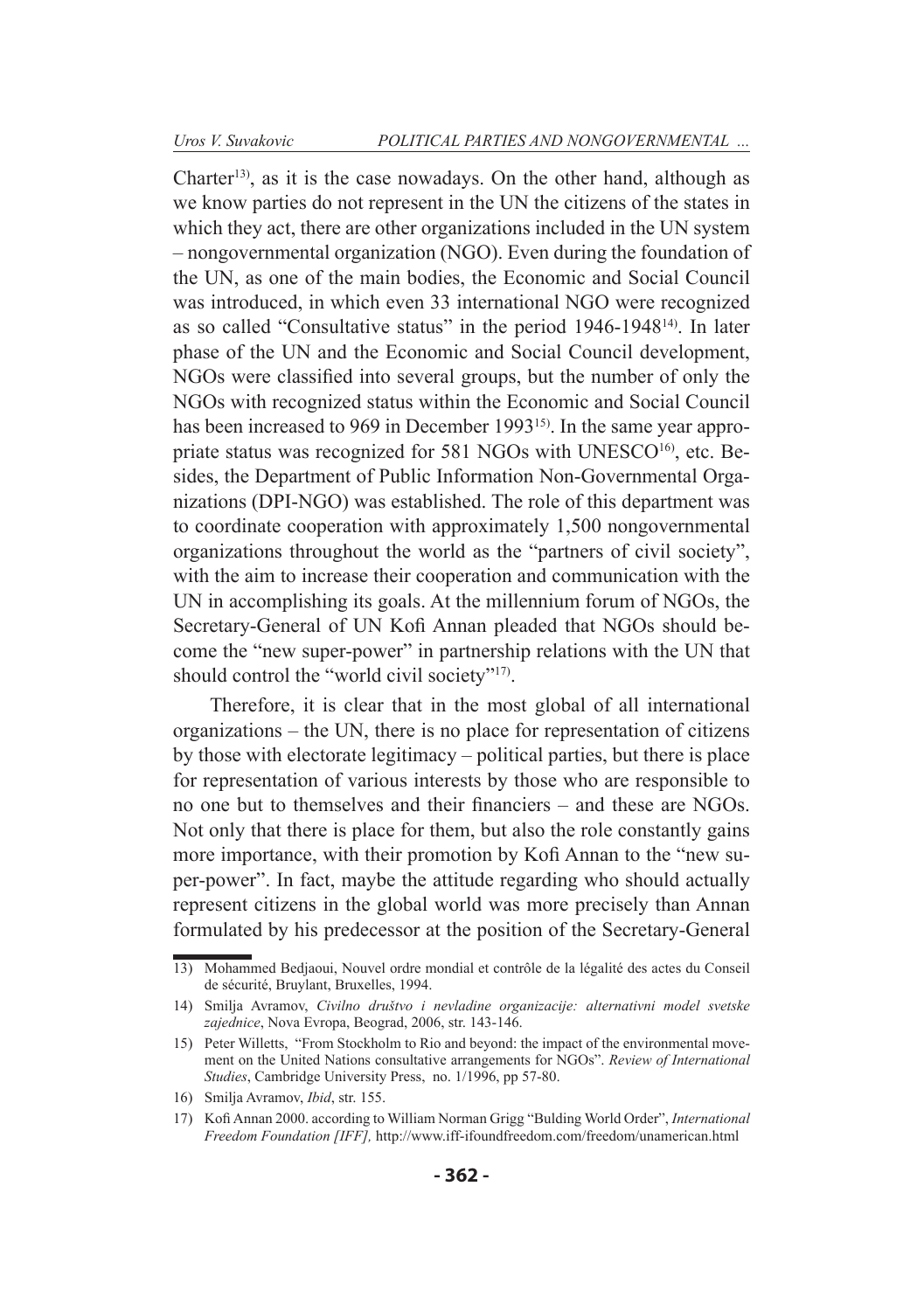Charter<sup>13)</sup>, as it is the case nowadays. On the other hand, although as we know parties do not represent in the UN the citizens of the states in which they act, there are other organizations included in the UN system – nongovernmental organization (NGO). Even during the foundation of the UN, as one of the main bodies, the Economic and Social Council was introduced, in which even 33 international NGO were recognized as so called "Consultative status" in the period 1946-194814). In later phase of the UN and the Economic and Social Council development, NGOs were classified into several groups, but the number of only the NGOs with recognized status within the Economic and Social Council has been increased to 969 in December 1993<sup>15)</sup>. In the same year appropriate status was recognized for 581 NGOs with UNESCO<sup>16</sup>, etc. Besides, the Department of Public Information Non-Governmental Organizations (DPI-NGO) was established. The role of this department was to coordinate cooperation with approximately 1,500 nongovernmental organizations throughout the world as the "partners of civil society", with the aim to increase their cooperation and communication with the UN in accomplishing its goals. At the millennium forum of NGOs, the Secretary-General of UN Kofi Annan pleaded that NGOs should become the "new super-power" in partnership relations with the UN that should control the "world civil society"<sup>17)</sup>.

Therefore, it is clear that in the most global of all international organizations – the UN, there is no place for representation of citizens by those with electorate legitimacy – political parties, but there is place for representation of various interests by those who are responsible to no one but to themselves and their financiers – and these are NGOs. Not only that there is place for them, but also the role constantly gains more importance, with their promotion by Kofi Annan to the "new super-power". In fact, maybe the attitude regarding who should actually represent citizens in the global world was more precisely than Annan formulated by his predecessor at the position of the Secretary-General

<sup>13)</sup> Mohammed Bedjaoui, Nouvel ordre mondial et contrôle de la légalité des actes du Conseil de sécurité, Bruylant, Bruxelles, 1994.

<sup>14)</sup> Smilja Avramov, *Civilno društvo i nevladine organizacije: alternativni model svetske zajednice*, Nova Evropa, Beograd, 2006, str. 143-146.

<sup>15)</sup> Peter Willetts, "From Stockholm to Rio and beyond: the impact of the environmental movement on the United Nations consultative arrangements for NGOs". *Review of International Studies*, Cambridge University Press, no. 1/1996, pp 57-80.

<sup>16)</sup> Smilja Avramov, *Ibid*, str. 155.

<sup>17)</sup> Kofi Annan 2000. according to William Norman Grigg "Bulding World Order", *International Freedom Foundation [IFF],* http://www.iff-ifoundfreedom.com/freedom/unamerican.html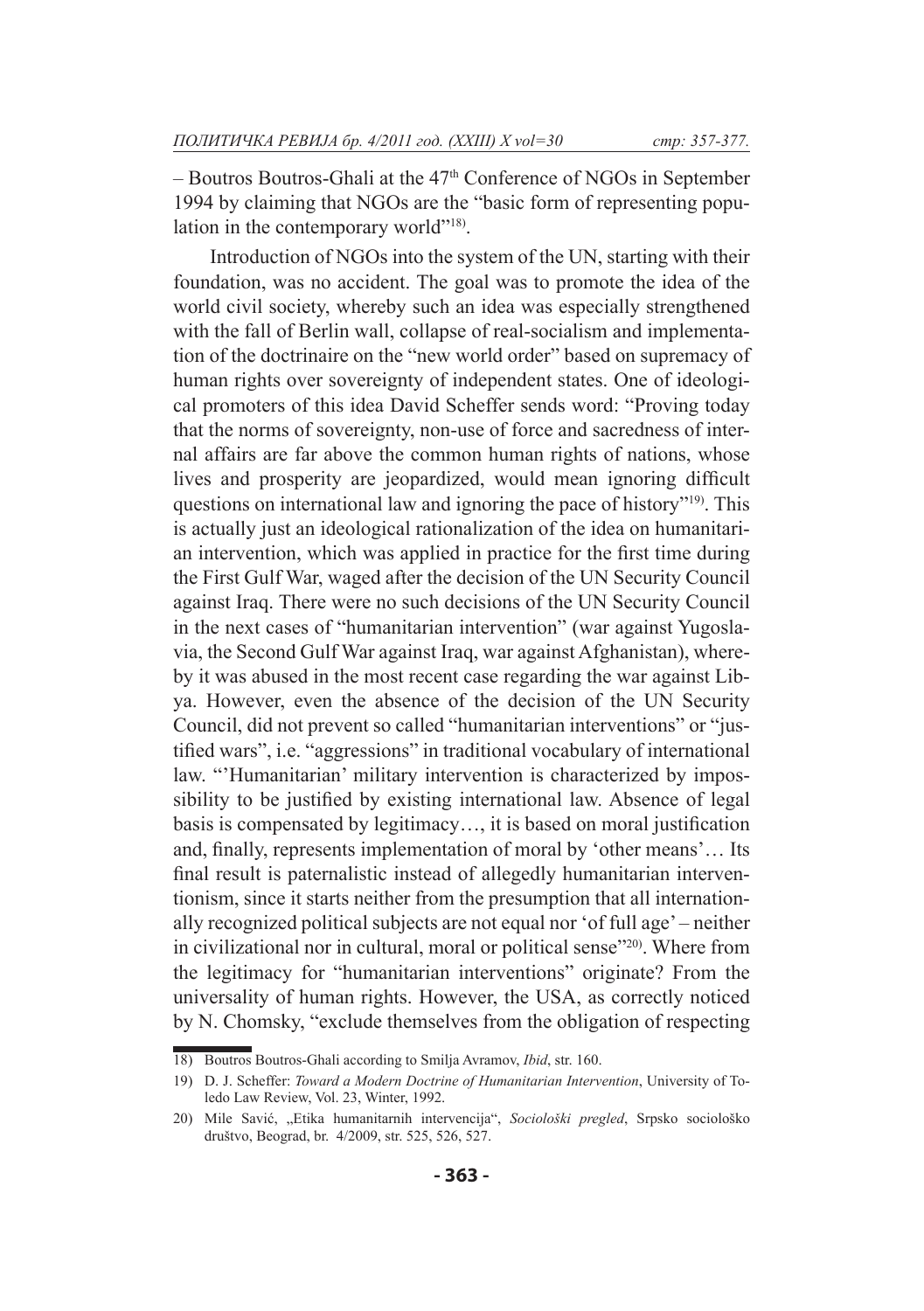– Boutros Boutros-Ghali at the 47th Conference of NGOs in September 1994 by claiming that NGOs are the "basic form of representing population in the contemporary world"<sup>18)</sup>.

Introduction of NGOs into the system of the UN, starting with their foundation, was no accident. The goal was to promote the idea of the world civil society, whereby such an idea was especially strengthened with the fall of Berlin wall, collapse of real-socialism and implementation of the doctrinaire on the "new world order" based on supremacy of human rights over sovereignty of independent states. One of ideological promoters of this idea David Scheffer sends word: "Proving today that the norms of sovereignty, non-use of force and sacredness of internal affairs are far above the common human rights of nations, whose lives and prosperity are jeopardized, would mean ignoring difficult questions on international law and ignoring the pace of history"19). This is actually just an ideological rationalization of the idea on humanitarian intervention, which was applied in practice for the first time during the First Gulf War, waged after the decision of the UN Security Council against Iraq. There were no such decisions of the UN Security Council in the next cases of "humanitarian intervention" (war against Yugoslavia, the Second Gulf War against Iraq, war against Afghanistan), whereby it was abused in the most recent case regarding the war against Libya. However, even the absence of the decision of the UN Security Council, did not prevent so called "humanitarian interventions" or "justified wars", i.e. "aggressions" in traditional vocabulary of international law. "'Humanitarian' military intervention is characterized by impossibility to be justified by existing international law. Absence of legal basis is compensated by legitimacy…, it is based on moral justification and, finally, represents implementation of moral by 'other means'… Its final result is paternalistic instead of allegedly humanitarian interventionism, since it starts neither from the presumption that all internationally recognized political subjects are not equal nor 'of full age' – neither in civilizational nor in cultural, moral or political sense"20). Where from the legitimacy for "humanitarian interventions" originate? From the universality of human rights. However, the USA, as correctly noticed by N. Chomsky, "exclude themselves from the obligation of respecting

<sup>18)</sup> Boutros Boutros-Ghali according to Smilja Avramov, *Ibid*, str. 160.

<sup>19)</sup> D. J. Scheffer: *Toward a Modern Doctrine of Humanitarian Intervention*, University of Toledo Law Review, Vol. 23, Winter, 1992.

<sup>20)</sup> Mile Savić, "Etika humanitarnih intervencija", *Sociološki pregled*, Srpsko sociološko društvo, Beograd, br. 4/2009, str. 525, 526, 527.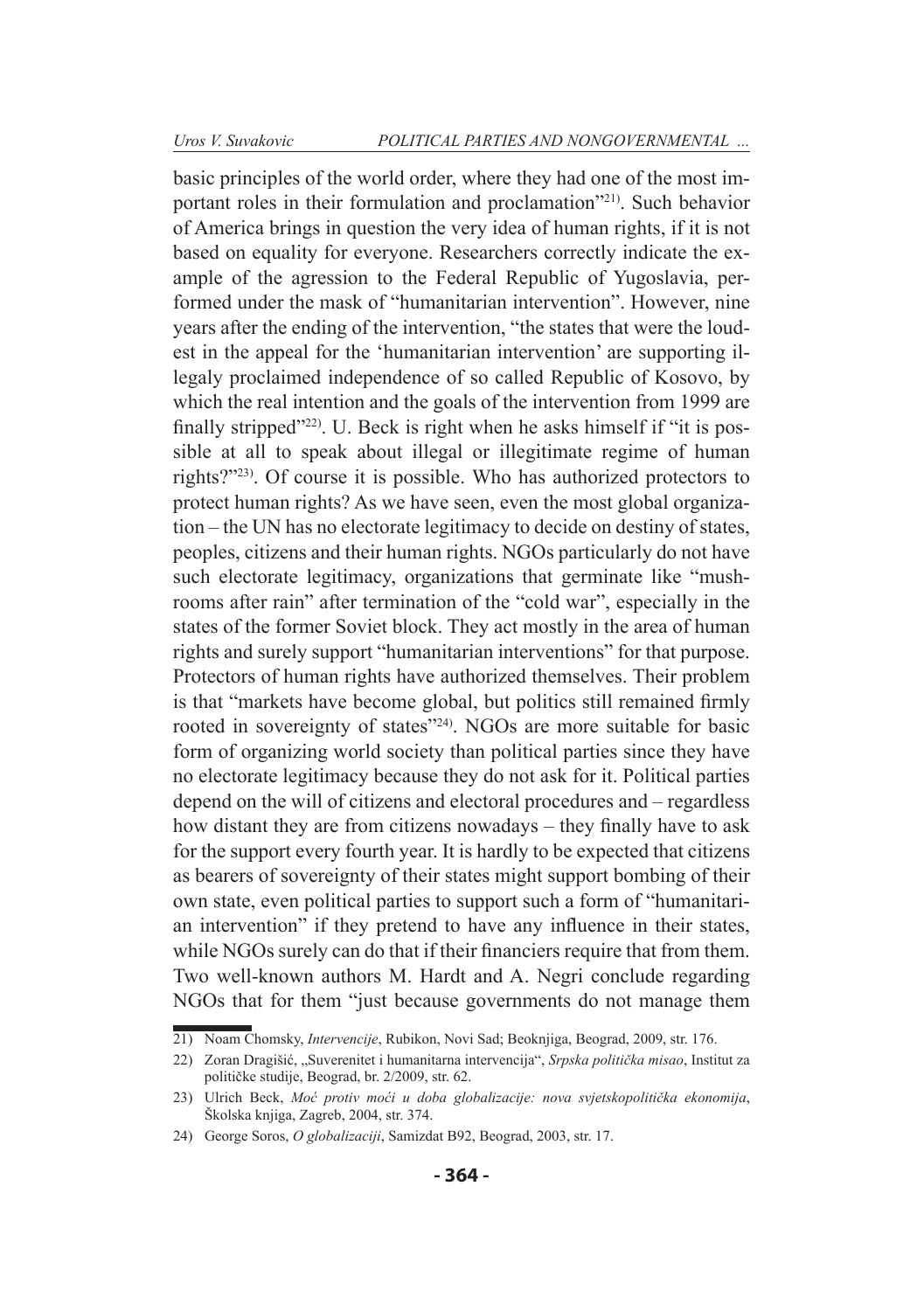basic principles of the world order, where they had one of the most important roles in their formulation and proclamation"21). Such behavior of America brings in question the very idea of human rights, if it is not based on equality for everyone. Researchers correctly indicate the example of the agression to the Federal Republic of Yugoslavia, performed under the mask of "humanitarian intervention". However, nine years after the ending of the intervention, "the states that were the loudest in the appeal for the 'humanitarian intervention' are supporting illegaly proclaimed independence of so called Republic of Kosovo, by which the real intention and the goals of the intervention from 1999 are finally stripped<sup>"22)</sup>. U. Beck is right when he asks himself if "it is possible at all to speak about illegal or illegitimate regime of human rights?"23). Of course it is possible. Who has authorized protectors to protect human rights? As we have seen, even the most global organization – the UN has no electorate legitimacy to decide on destiny of states, peoples, citizens and their human rights. NGOs particularly do not have such electorate legitimacy, organizations that germinate like "mushrooms after rain" after termination of the "cold war", especially in the states of the former Soviet block. They act mostly in the area of human rights and surely support "humanitarian interventions" for that purpose. Protectors of human rights have authorized themselves. Their problem is that "markets have become global, but politics still remained firmly rooted in sovereignty of states"24). NGOs are more suitable for basic form of organizing world society than political parties since they have no electorate legitimacy because they do not ask for it. Political parties depend on the will of citizens and electoral procedures and – regardless how distant they are from citizens nowadays – they finally have to ask for the support every fourth year. It is hardly to be expected that citizens as bearers of sovereignty of their states might support bombing of their own state, even political parties to support such a form of "humanitarian intervention" if they pretend to have any influence in their states, while NGOs surely can do that if their financiers require that from them. Two well-known authors M. Hardt and A. Negri conclude regarding NGOs that for them "just because governments do not manage them

<sup>21)</sup> Noam Chomsky, *Intervencije*, Rubikon, Novi Sad; Beoknjiga, Beograd, 2009, str. 176.

<sup>22)</sup> Zoran Dragišić, "Suverenitet i humanitarna intervencija", *Srpska politička misao*, Institut za političke studije, Beograd, br. 2/2009, str. 62.

<sup>23)</sup> Ulrich Beck, *Moć protiv moći u doba globalizacije: nova svjetskopolitička ekonomija*, Školska knjiga, Zagreb, 2004, str. 374.

<sup>24)</sup> George Soros, *O globalizaciji*, Samizdat B92, Beograd, 2003, str. 17.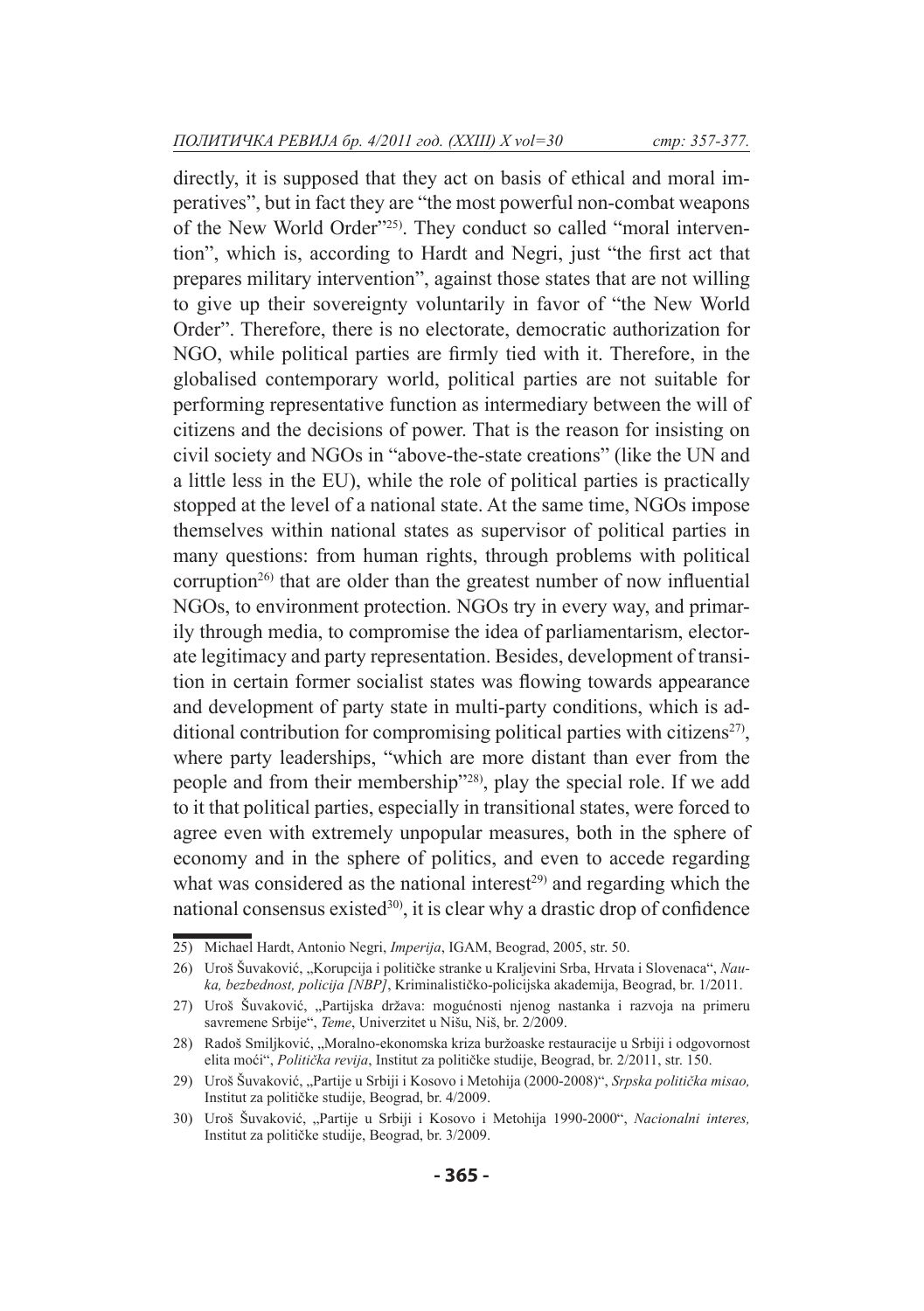directly, it is supposed that they act on basis of ethical and moral imperatives", but in fact they are "the most powerful non-combat weapons of the New World Order"<sup>25)</sup>. They conduct so called "moral intervention", which is, according to Hardt and Negri, just "the first act that prepares military intervention", against those states that are not willing to give up their sovereignty voluntarily in favor of "the New World Order". Therefore, there is no electorate, democratic authorization for NGO, while political parties are firmly tied with it. Therefore, in the globalised contemporary world, political parties are not suitable for performing representative function as intermediary between the will of citizens and the decisions of power. That is the reason for insisting on civil society and NGOs in "above-the-state creations" (like the UN and a little less in the EU), while the role of political parties is practically stopped at the level of a national state. At the same time, NGOs impose themselves within national states as supervisor of political parties in many questions: from human rights, through problems with political corruption<sup>26)</sup> that are older than the greatest number of now influential NGOs, to environment protection. NGOs try in every way, and primarily through media, to compromise the idea of parliamentarism, electorate legitimacy and party representation. Besides, development of transition in certain former socialist states was flowing towards appearance and development of party state in multi-party conditions, which is additional contribution for compromising political parties with citizens<sup>27)</sup>, where party leaderships, "which are more distant than ever from the people and from their membership"28), play the special role. If we add to it that political parties, especially in transitional states, were forced to agree even with extremely unpopular measures, both in the sphere of economy and in the sphere of politics, and even to accede regarding what was considered as the national interest<sup>29)</sup> and regarding which the national consensus existed<sup>30)</sup>, it is clear why a drastic drop of confidence

<sup>25)</sup> Michael Hardt, Antonio Negri, *Imperija*, IGAM, Beograd, 2005, str. 50.

<sup>26)</sup> Uroš Šuvaković, "Korupcija i političke stranke u Kraljevini Srba, Hrvata i Slovenaca", *Nauka, bezbednost, policija [NBP]*, Kriminalističko-policijska akademija, Beograd, br. 1/2011.

<sup>27)</sup> Uroš Šuvaković, "Partijska država: mogućnosti njenog nastanka i razvoja na primeru savremene Srbije", *Teme*, Univerzitet u Nišu, Niš, br. 2/2009.

<sup>28)</sup> Radoš Smiljković, "Moralno-ekonomska kriza buržoaske restauracije u Srbiji i odgovornost elita moći", *Politička revija*, Institut za političke studije, Beograd, br. 2/2011, str. 150.

<sup>29)</sup> Uroš Šuvaković, "Partije u Srbiji i Kosovo i Metohija (2000-2008)", *Srpska politička misao,* Institut za političke studije, Beograd, br. 4/2009.

<sup>30)</sup> Uroš Šuvaković, "Partije u Srbiji i Kosovo i Metohija 1990-2000", *Nacionalni interes,*  Institut za političke studije, Beograd, br. 3/2009.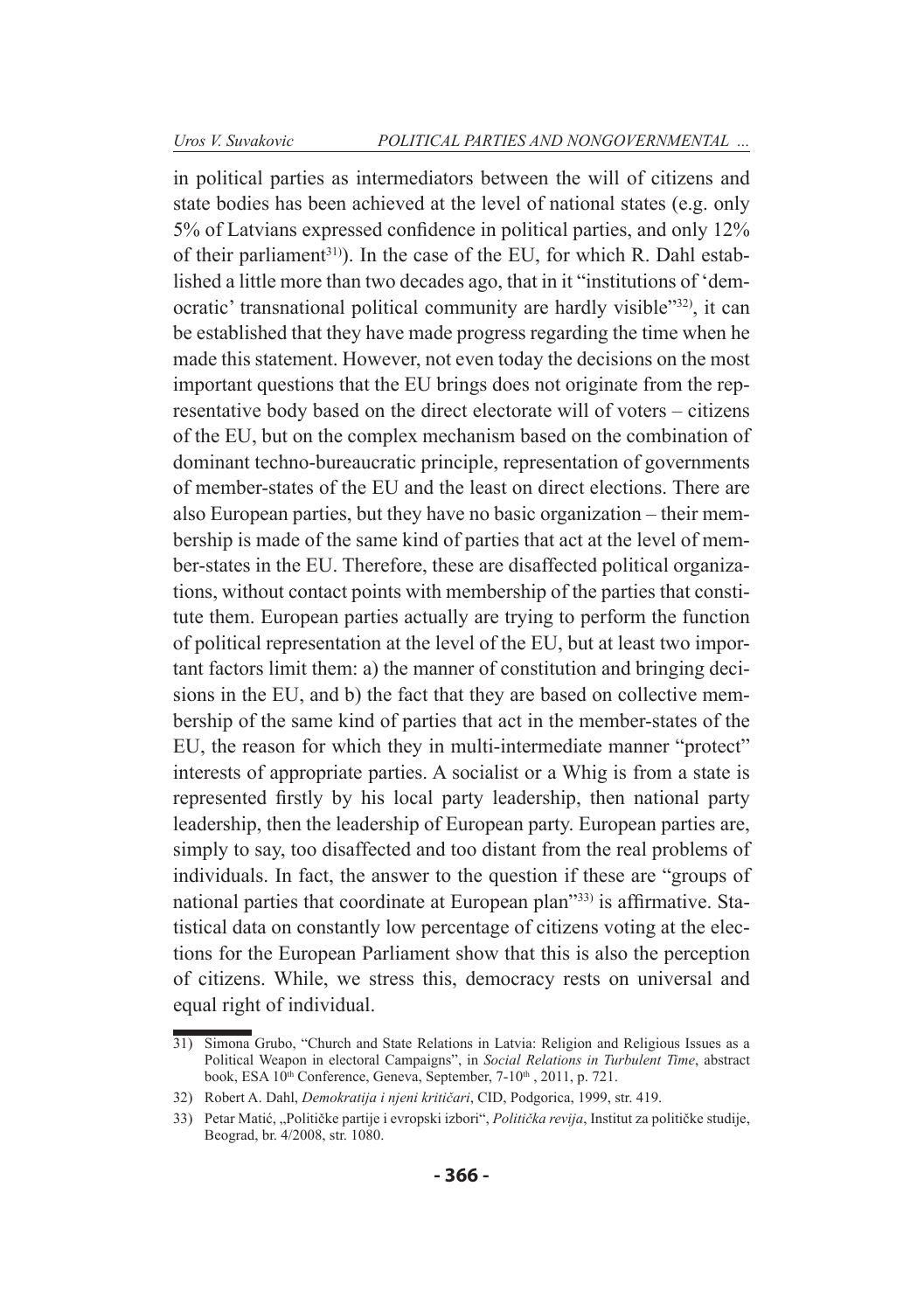in political parties as intermediators between the will of citizens and state bodies has been achieved at the level of national states (e.g. only 5% of Latvians expressed confidence in political parties, and only 12% of their parliament<sup>31)</sup>). In the case of the EU, for which R. Dahl established a little more than two decades ago, that in it "institutions of 'democratic' transnational political community are hardly visible"32), it can be established that they have made progress regarding the time when he made this statement. However, not even today the decisions on the most important questions that the EU brings does not originate from the representative body based on the direct electorate will of voters – citizens of the EU, but on the complex mechanism based on the combination of dominant techno-bureaucratic principle, representation of governments of member-states of the EU and the least on direct elections. There are also European parties, but they have no basic organization – their membership is made of the same kind of parties that act at the level of member-states in the EU. Therefore, these are disaffected political organizations, without contact points with membership of the parties that constitute them. European parties actually are trying to perform the function of political representation at the level of the EU, but at least two important factors limit them: a) the manner of constitution and bringing decisions in the EU, and b) the fact that they are based on collective membership of the same kind of parties that act in the member-states of the EU, the reason for which they in multi-intermediate manner "protect" interests of appropriate parties. A socialist or a Whig is from a state is represented firstly by his local party leadership, then national party leadership, then the leadership of European party. European parties are, simply to say, too disaffected and too distant from the real problems of individuals. In fact, the answer to the question if these are "groups of national parties that coordinate at European plan"33) is affirmative. Statistical data on constantly low percentage of citizens voting at the elections for the European Parliament show that this is also the perception of citizens. While, we stress this, democracy rests on universal and equal right of individual.

<sup>31)</sup> Simona Grubo, "Church and State Relations in Latvia: Religion and Religious Issues as a Political Weapon in electoral Campaigns", in *Social Relations in Turbulent Time*, abstract book, ESA 10<sup>th</sup> Conference, Geneva, September, 7-10<sup>th</sup>, 2011, p. 721.

<sup>32)</sup> Robert A. Dahl, *Demokratija i njeni kritičari*, CID, Podgorica, 1999, str. 419.

<sup>33)</sup> Petar Matić, "Političke partije i evropski izbori", Politička revija, Institut za političke studije, Beograd, br. 4/2008, str. 1080.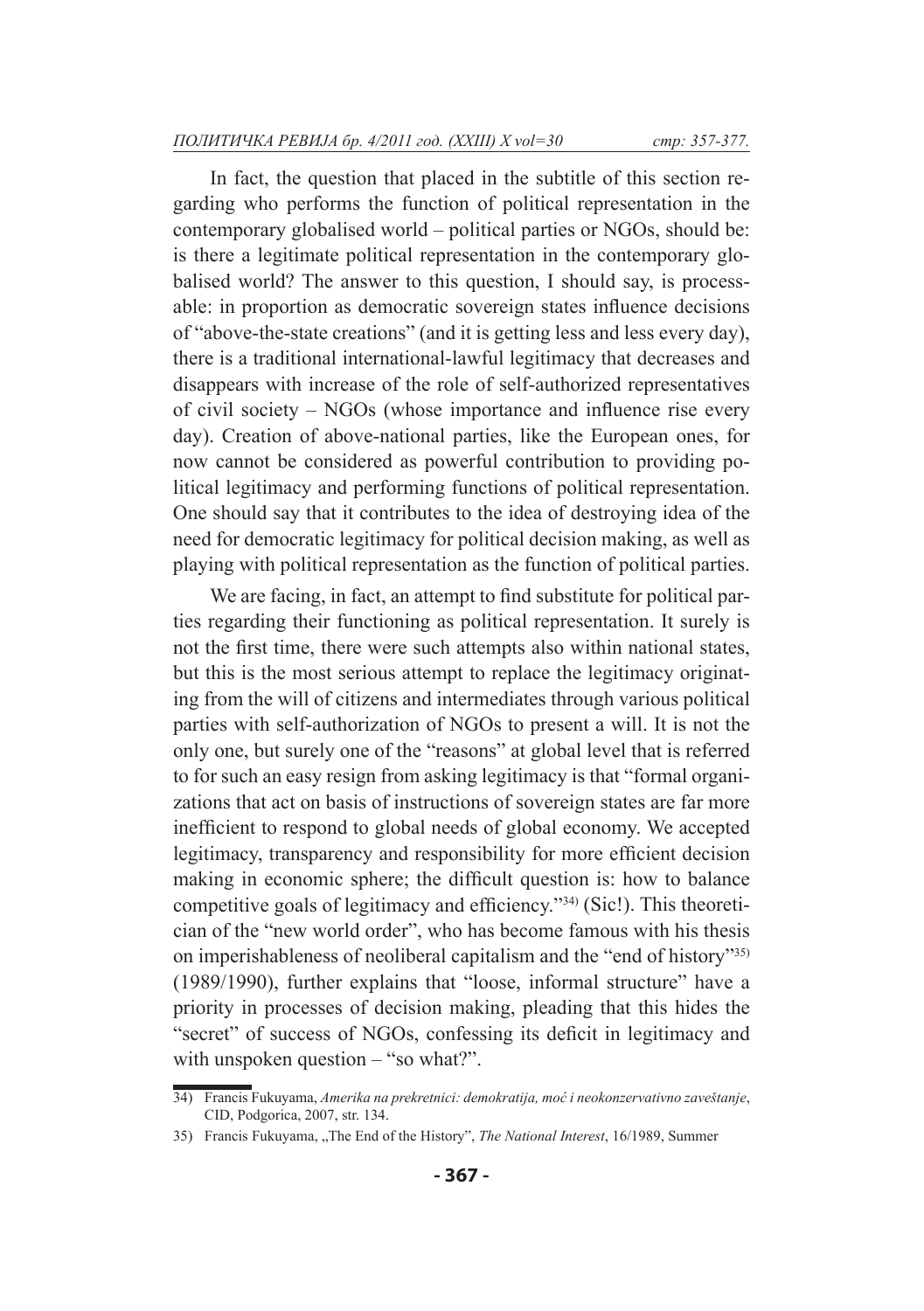In fact, the question that placed in the subtitle of this section regarding who performs the function of political representation in the contemporary globalised world – political parties or NGOs, should be: is there a legitimate political representation in the contemporary globalised world? The answer to this question, I should say, is processable: in proportion as democratic sovereign states influence decisions of "above-the-state creations" (and it is getting less and less every day), there is a traditional international-lawful legitimacy that decreases and disappears with increase of the role of self-authorized representatives of civil society – NGOs (whose importance and influence rise every day). Creation of above-national parties, like the European ones, for now cannot be considered as powerful contribution to providing political legitimacy and performing functions of political representation. One should say that it contributes to the idea of destroying idea of the need for democratic legitimacy for political decision making, as well as playing with political representation as the function of political parties.

We are facing, in fact, an attempt to find substitute for political parties regarding their functioning as political representation. It surely is not the first time, there were such attempts also within national states, but this is the most serious attempt to replace the legitimacy originating from the will of citizens and intermediates through various political parties with self-authorization of NGOs to present a will. It is not the only one, but surely one of the "reasons" at global level that is referred to for such an easy resign from asking legitimacy is that "formal organizations that act on basis of instructions of sovereign states are far more inefficient to respond to global needs of global economy. We accepted legitimacy, transparency and responsibility for more efficient decision making in economic sphere; the difficult question is: how to balance competitive goals of legitimacy and efficiency."34) (Sic!). This theoretician of the "new world order", who has become famous with his thesis on imperishableness of neoliberal capitalism and the "end of history"35) (1989/1990), further explains that "loose, informal structure" have a priority in processes of decision making, pleading that this hides the "secret" of success of NGOs, confessing its deficit in legitimacy and with unspoken question – "so what?".

<sup>34)</sup> Francis Fukuyama, *Amerika na prekretnici: demokratija, moć i neokonzervativno zaveštanje*, CID, Podgorica, 2007, str. 134.

<sup>35)</sup> Francis Fukuyama, "The End of the History", *The National Interest*, 16/1989, Summer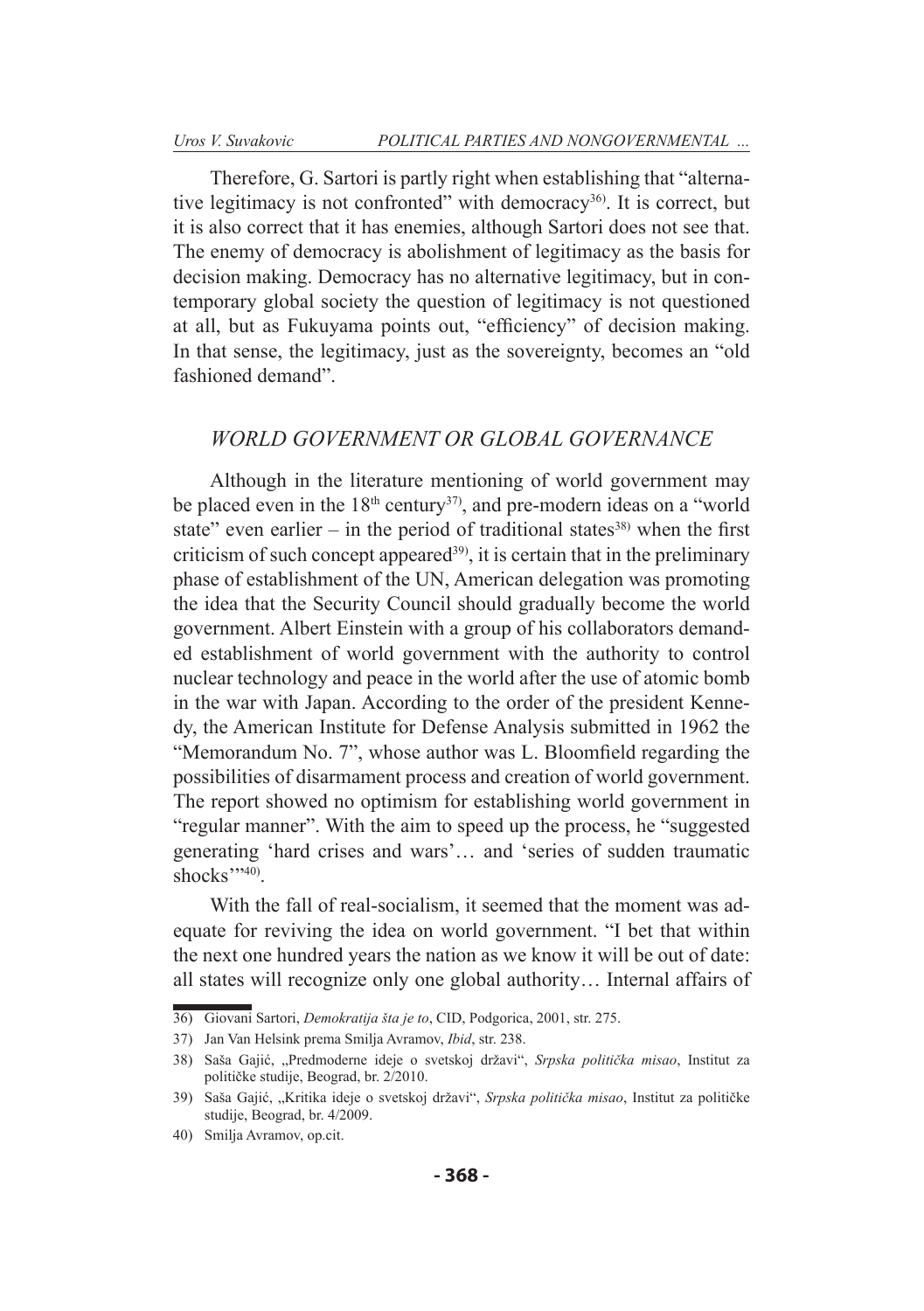Therefore, G. Sartori is partly right when establishing that "alternative legitimacy is not confronted" with democracy<sup>36)</sup>. It is correct, but it is also correct that it has enemies, although Sartori does not see that. The enemy of democracy is abolishment of legitimacy as the basis for decision making. Democracy has no alternative legitimacy, but in contemporary global society the question of legitimacy is not questioned at all, but as Fukuyama points out, "efficiency" of decision making. In that sense, the legitimacy, just as the sovereignty, becomes an "old fashioned demand".

### *WORLD GOVERNMENT OR GLOBAL GOVERNANCE*

Although in the literature mentioning of world government may be placed even in the  $18<sup>th</sup>$  century<sup>37)</sup>, and pre-modern ideas on a "world" state" even earlier – in the period of traditional states<sup>38)</sup> when the first criticism of such concept appeared<sup>39)</sup>, it is certain that in the preliminary phase of establishment of the UN, American delegation was promoting the idea that the Security Council should gradually become the world government. Albert Einstein with a group of his collaborators demanded establishment of world government with the authority to control nuclear technology and peace in the world after the use of atomic bomb in the war with Japan. According to the order of the president Kennedy, the American Institute for Defense Analysis submitted in 1962 the "Memorandum No. 7", whose author was L. Bloomfield regarding the possibilities of disarmament process and creation of world government. The report showed no optimism for establishing world government in "regular manner". With the aim to speed up the process, he "suggested generating 'hard crises and wars'… and 'series of sudden traumatic shocks $"$ <sup>240</sup>)

With the fall of real-socialism, it seemed that the moment was adequate for reviving the idea on world government. "I bet that within the next one hundred years the nation as we know it will be out of date: all states will recognize only one global authority… Internal affairs of

<sup>36)</sup> Giovani Sartori, *Demokratija šta je to*, CID, Podgorica, 2001, str. 275.

<sup>37)</sup> Jan Van Helsink prema Smilja Avramov, *Ibid*, str. 238.

<sup>38)</sup> Saša Gajić, "Predmoderne ideje o svetskoj državi", *Srpska politička misao*, Institut za političke studije, Beograd, br. 2/2010.

<sup>39)</sup> Saša Gajić, "Kritika ideje o svetskoj državi", *Srpska politička misao*, Institut za političke studije, Beograd, br. 4/2009.

<sup>40)</sup> Smilja Avramov, op.cit.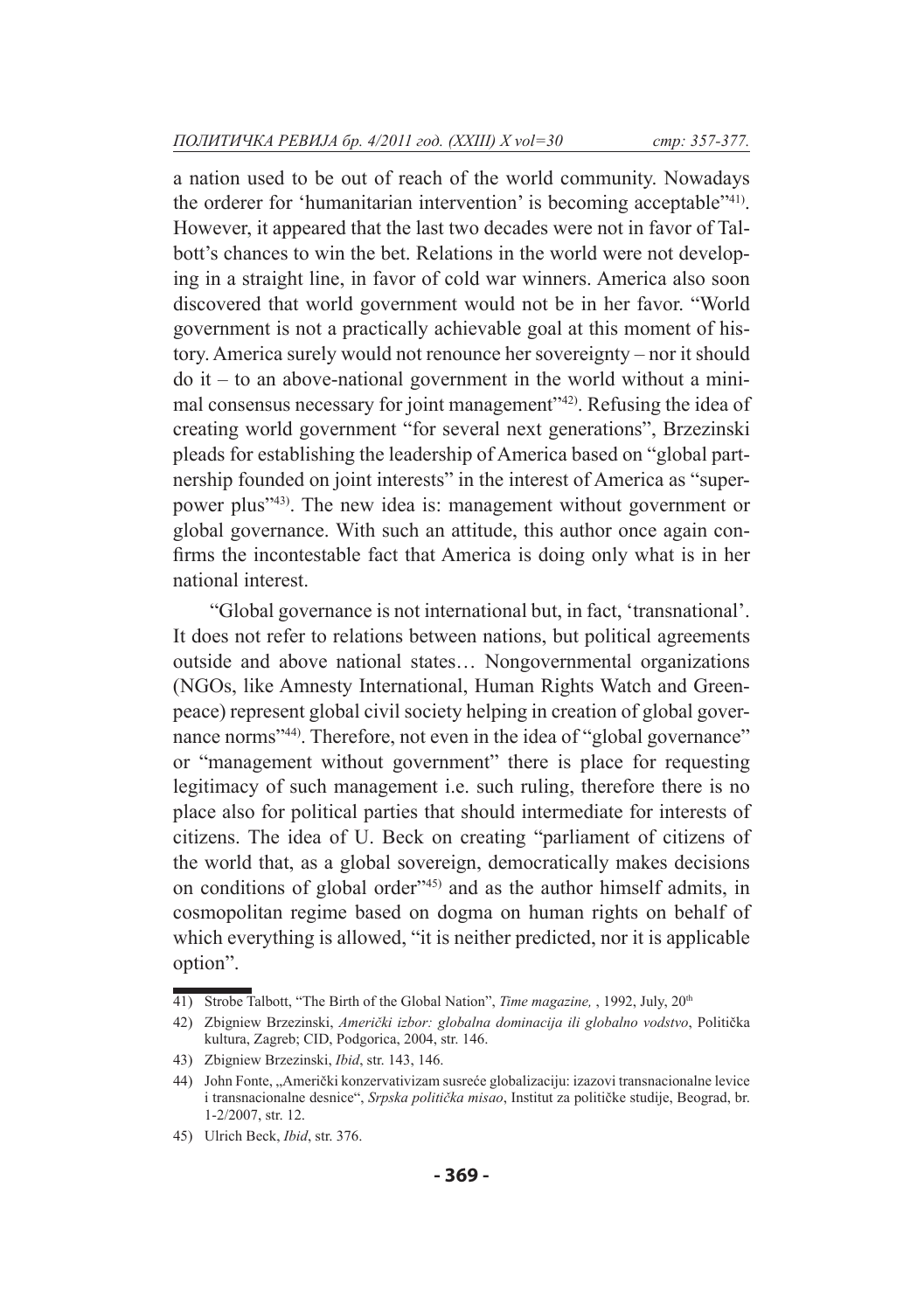a nation used to be out of reach of the world community. Nowadays the orderer for 'humanitarian intervention' is becoming acceptable"41). However, it appeared that the last two decades were not in favor of Talbott's chances to win the bet. Relations in the world were not developing in a straight line, in favor of cold war winners. America also soon discovered that world government would not be in her favor. "World government is not a practically achievable goal at this moment of history. America surely would not renounce her sovereignty – nor it should do it – to an above-national government in the world without a minimal consensus necessary for joint management"42). Refusing the idea of creating world government "for several next generations", Brzezinski pleads for establishing the leadership of America based on "global partnership founded on joint interests" in the interest of America as "superpower plus"43). The new idea is: management without government or global governance. With such an attitude, this author once again confirms the incontestable fact that America is doing only what is in her national interest.

"Global governance is not international but, in fact, 'transnational'. It does not refer to relations between nations, but political agreements outside and above national states… Nongovernmental organizations (NGOs, like Amnesty International, Human Rights Watch and Greenpeace) represent global civil society helping in creation of global governance norms<sup>"44)</sup>. Therefore, not even in the idea of "global governance" or "management without government" there is place for requesting legitimacy of such management i.e. such ruling, therefore there is no place also for political parties that should intermediate for interests of citizens. The idea of U. Beck on creating "parliament of citizens of the world that, as a global sovereign, democratically makes decisions on conditions of global order"45) and as the author himself admits, in cosmopolitan regime based on dogma on human rights on behalf of which everything is allowed, "it is neither predicted, nor it is applicable option".

<sup>41)</sup> Strobe Talbott, "The Birth of the Global Nation", *Time magazine*, , 1992, July, 20<sup>th</sup>

<sup>42)</sup> Zbigniew Brzezinski, *Američki izbor: globalna dominacija ili globalno vodstvo*, Politička kultura, Zagreb; CID, Podgorica, 2004, str. 146.

<sup>43)</sup> Zbigniew Brzezinski, *Ibid*, str. 143, 146.

<sup>44)</sup> John Fonte, "Američki konzervativizam susreće globalizaciju: izazovi transnacionalne levice i transnacionalne desnice", *Srpska politička misao*, Institut za političke studije, Beograd, br. 1-2/2007, str. 12.

<sup>45)</sup> Ulrich Beck, *Ibid*, str. 376.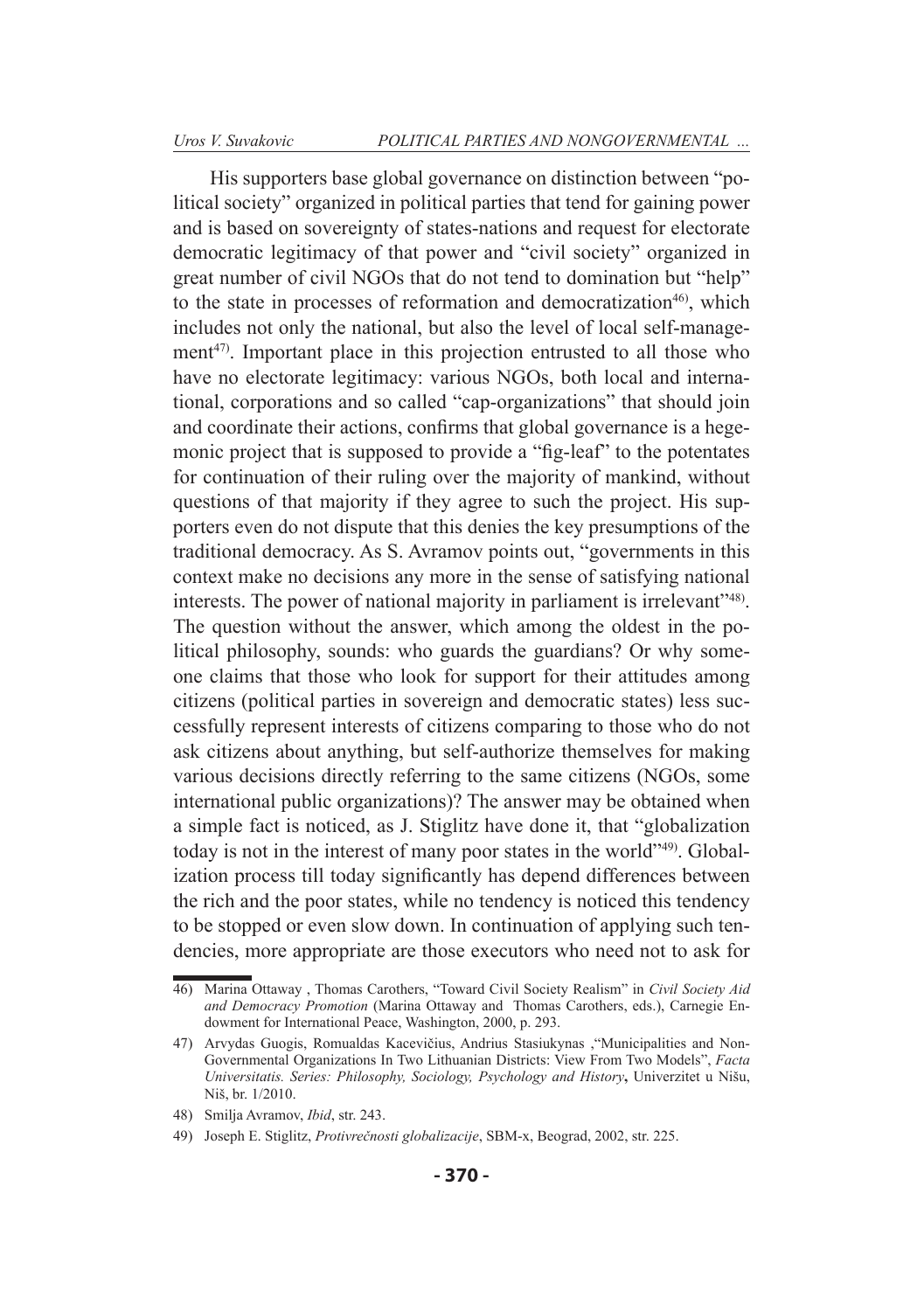His supporters base global governance on distinction between "political society" organized in political parties that tend for gaining power and is based on sovereignty of states-nations and request for electorate democratic legitimacy of that power and "civil society" organized in great number of civil NGOs that do not tend to domination but "help" to the state in processes of reformation and democratization<sup>46</sup>, which includes not only the national, but also the level of local self-management $47$ . Important place in this projection entrusted to all those who have no electorate legitimacy: various NGOs, both local and international, corporations and so called "cap-organizations" that should join and coordinate their actions, confirms that global governance is a hegemonic project that is supposed to provide a "fig-leaf" to the potentates for continuation of their ruling over the majority of mankind, without questions of that majority if they agree to such the project. His supporters even do not dispute that this denies the key presumptions of the traditional democracy. As S. Avramov points out, "governments in this context make no decisions any more in the sense of satisfying national interests. The power of national majority in parliament is irrelevant<sup>748</sup>. The question without the answer, which among the oldest in the political philosophy, sounds: who guards the guardians? Or why someone claims that those who look for support for their attitudes among citizens (political parties in sovereign and democratic states) less successfully represent interests of citizens comparing to those who do not ask citizens about anything, but self-authorize themselves for making various decisions directly referring to the same citizens (NGOs, some international public organizations)? The answer may be obtained when a simple fact is noticed, as J. Stiglitz have done it, that "globalization today is not in the interest of many poor states in the world"49). Globalization process till today significantly has depend differences between the rich and the poor states, while no tendency is noticed this tendency to be stopped or even slow down. In continuation of applying such tendencies, more appropriate are those executors who need not to ask for

<sup>46)</sup> Marina Ottaway , Thomas Carothers, "Toward Civil Society Realism" in *Civil Society Aid and Democracy Promotion* (Marina Ottaway and Thomas Carothers, eds.), Carnegie Endowment for International Peace, Washington, 2000, p. 293.

<sup>47)</sup> Arvydas Guogis, Romualdas Kacevičius, Andrius Stasiukynas ,"Municipalities and Non-Governmental Organizations In Two Lithuanian Districts: View From Two Models", *Facta Universitatis. Series: Philosophy, Sociology, Psychology and History***,** Univerzitet u Nišu, Niš, br. 1/2010.

<sup>48)</sup> Smilja Avramov, *Ibid*, str. 243.

<sup>49)</sup> Joseph Е. Stiglitz, *Protivrečnosti globalizacije*, SBM-x, Beograd, 2002, str. 225.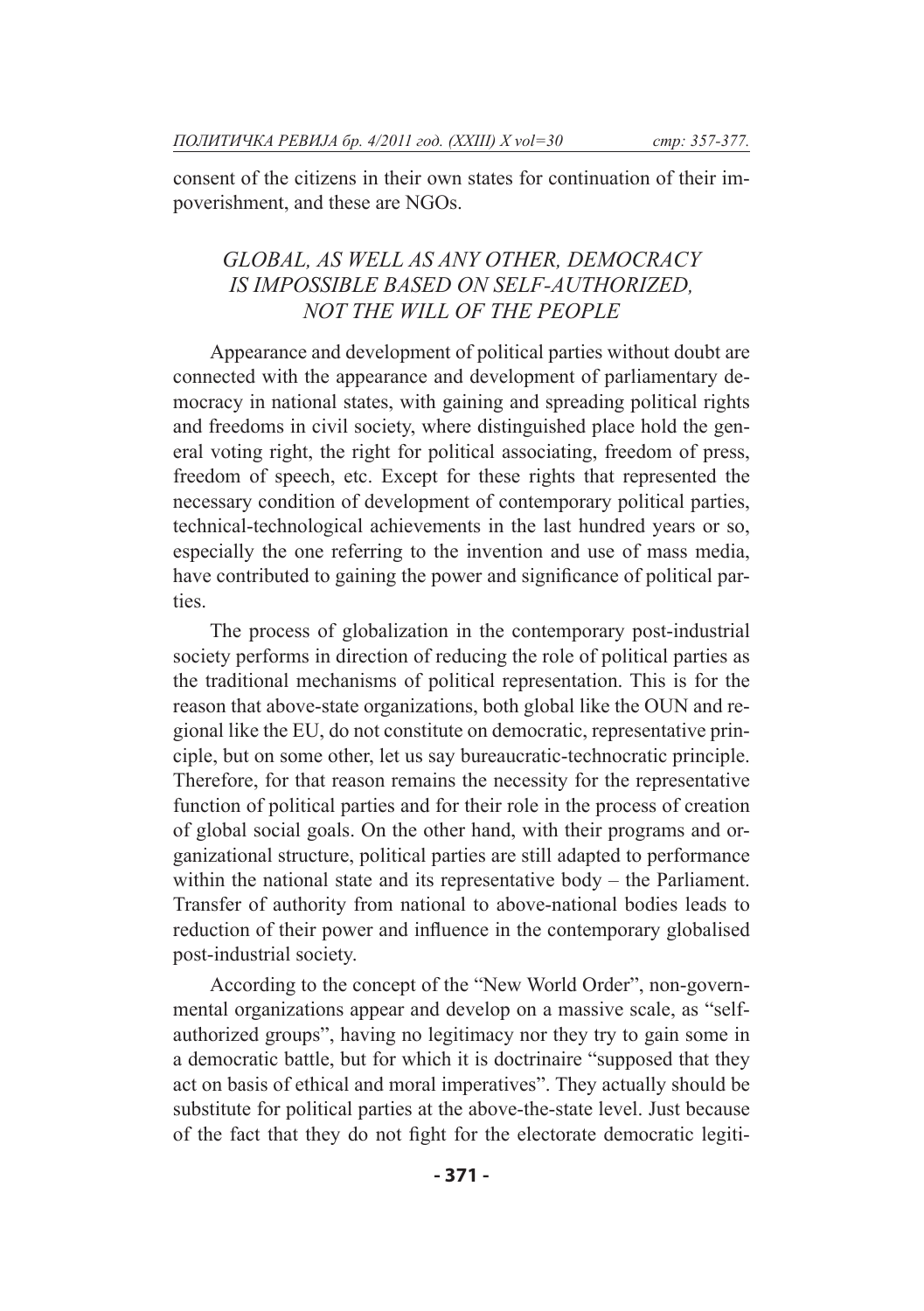consent of the citizens in their own states for continuation of their impoverishment, and these are NGOs.

# *GLOBAL, AS WELL AS ANY OTHER, DEMOCRACY IS IMPOSSIBLE BASED ON SELF-AUTHORIZED, NOT THE WILL OF THE PEOPLE*

Appearance and development of political parties without doubt are connected with the appearance and development of parliamentary democracy in national states, with gaining and spreading political rights and freedoms in civil society, where distinguished place hold the general voting right, the right for political associating, freedom of press, freedom of speech, etc. Except for these rights that represented the necessary condition of development of contemporary political parties, technical-technological achievements in the last hundred years or so, especially the one referring to the invention and use of mass media, have contributed to gaining the power and significance of political parties.

The process of globalization in the contemporary post-industrial society performs in direction of reducing the role of political parties as the traditional mechanisms of political representation. This is for the reason that above-state organizations, both global like the OUN and regional like the EU, do not constitute on democratic, representative principle, but on some other, let us say bureaucratic-technocratic principle. Therefore, for that reason remains the necessity for the representative function of political parties and for their role in the process of creation of global social goals. On the other hand, with their programs and organizational structure, political parties are still adapted to performance within the national state and its representative body – the Parliament. Transfer of authority from national to above-national bodies leads to reduction of their power and influence in the contemporary globalised post-industrial society.

According to the concept of the "New World Order", non-governmental organizations appear and develop on a massive scale, as "selfauthorized groups", having no legitimacy nor they try to gain some in a democratic battle, but for which it is doctrinaire "supposed that they act on basis of ethical and moral imperatives". They actually should be substitute for political parties at the above-the-state level. Just because of the fact that they do not fight for the electorate democratic legiti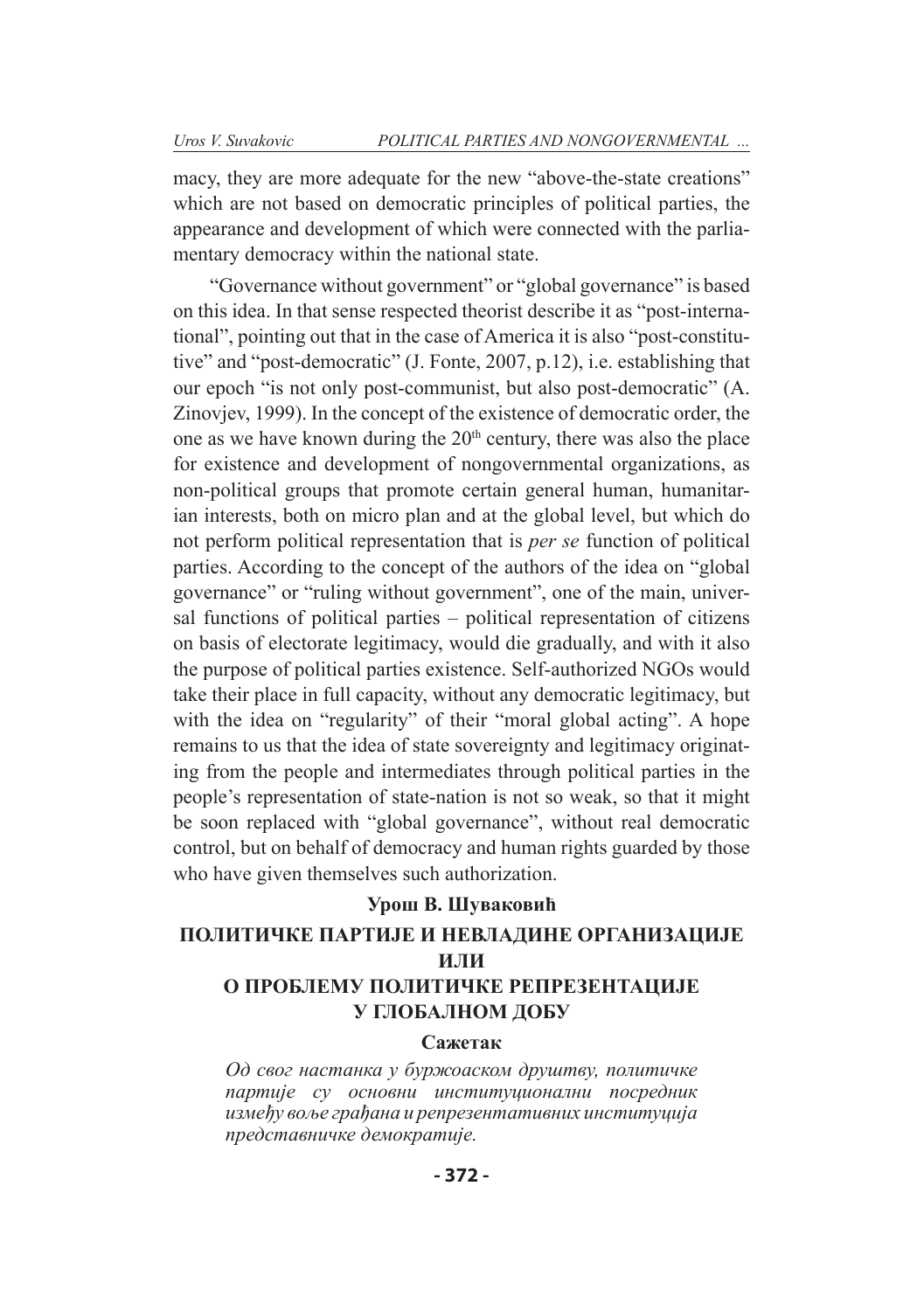macy, they are more adequate for the new "above-the-state creations" which are not based on democratic principles of political parties, the appearance and development of which were connected with the parliamentary democracy within the national state.

"Governance without government" or "global governance" is based on this idea. In that sense respected theorist describe it as "post-international", pointing out that in the case of America it is also "post-constitutive" and "post-democratic" (J. Fonte, 2007, p.12), i.e. establishing that our epoch "is not only post-communist, but also post-democratic" (A. Zinovjev, 1999). In the concept of the existence of democratic order, the one as we have known during the  $20<sup>th</sup>$  century, there was also the place for existence and development of nongovernmental organizations, as non-political groups that promote certain general human, humanitarian interests, both on micro plan and at the global level, but which do not perform political representation that is *per se* function of political parties. According to the concept of the authors of the idea on "global governance" or "ruling without government", one of the main, universal functions of political parties – political representation of citizens on basis of electorate legitimacy, would die gradually, and with it also the purpose of political parties existence. Self-authorized NGOs would take their place in full capacity, without any democratic legitimacy, but with the idea on "regularity" of their "moral global acting". A hope remains to us that the idea of state sovereignty and legitimacy originating from the people and intermediates through political parties in the people's representation of state-nation is not so weak, so that it might be soon replaced with "global governance", without real democratic control, but on behalf of democracy and human rights guarded by those who have given themselves such authorization.

### **Урош В. Шуваковић**

# **ПОЛИТИЧКЕ ПАРТИЈЕ И НЕВЛАДИНЕ ОРГАНИЗАЦИЈЕ ИЛИ О ПРОБЛЕМУ ПОЛИТИЧКЕ РЕПРЕЗЕНТАЦИЈЕ**

#### **У ГЛОБАЛНОМ ДОБУ**

#### **Сажетак**

*Од свог настанка у буржоаском друштву, политичке партије су основни институционални посредник између воље грађана и репрезентативних институција представничке демократије.*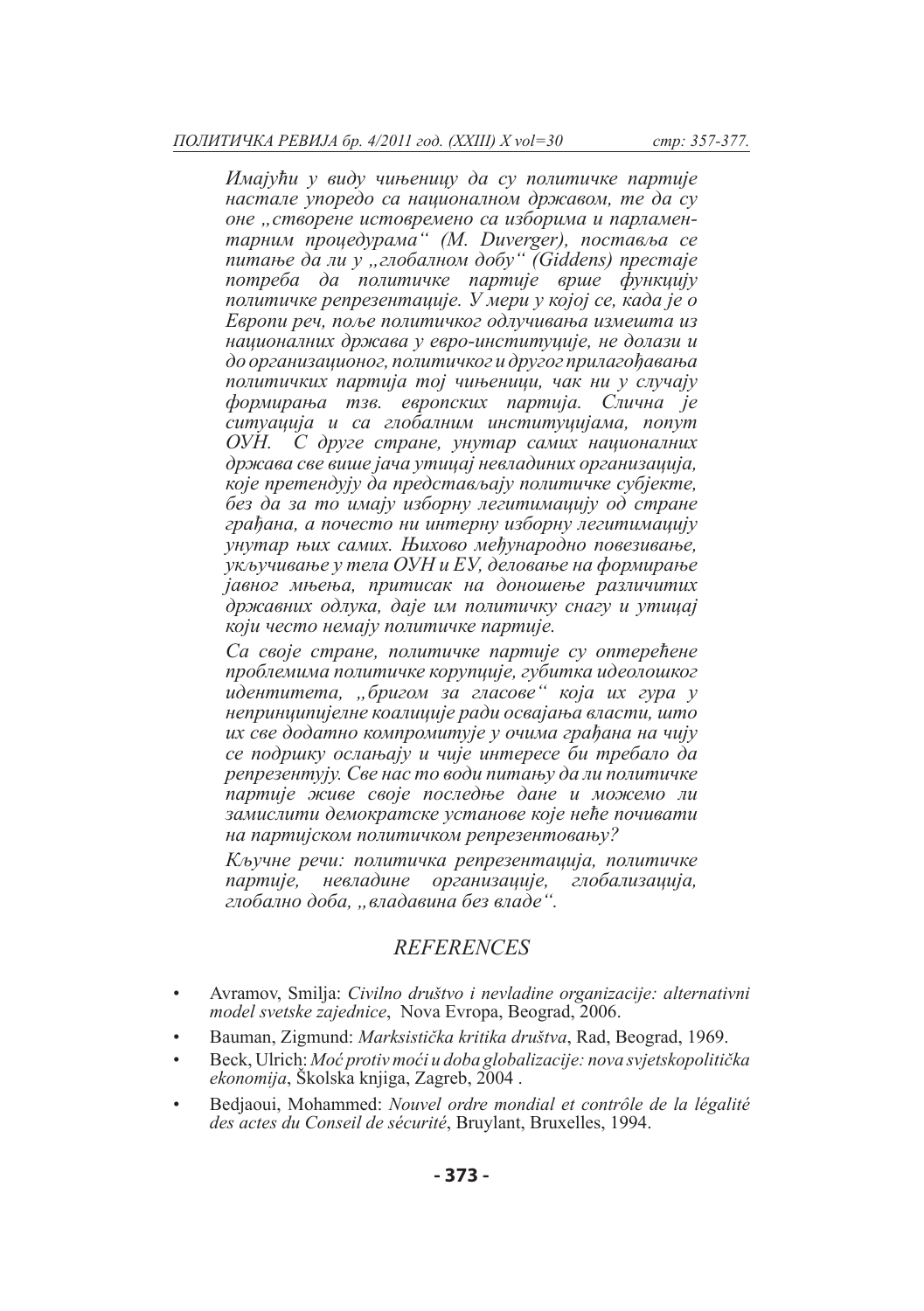*Имајући у виду чињеницу да су политичке партије настале упоредо са националном државом, те да су оне "створене истовремено са изборима и парламентарним процедурама" (M. Duverger), поставља се питање да ли у "глобалном добу" (Giddens) престаје потреба да политичке партије врше функцију политичке репрезентације. У мери у којој се, када је о Европи реч, поље политичког одлучивања измешта из националних држава у евро-институције, не долази и до организационог, политичког и другог прилагођавања политичких партија тој чињеници, чак ни у случају формирања тзв. европских партија. Слична је ситуација и са глобалним институцијама, попут ОУН. С друге стране, унутар самих националних држава све више јача утицај невладиних организација, које претендују да представљају политичке субјекте, без да за то имају изборну легитимацију од стране грађана, а почесто ни интерну изборну легитимацију унутар њих самих. Њихово међународно повезивање, укључивање у тела ОУН и ЕУ, деловање на формирање јавног мњења, притисак на доношење различитих државних одлука, даје им политичку снагу и утицај који често немају политичке партије.* 

*Са своје стране, политичке партије су оптерећене проблемима политичке корупције, губитка идеолошког идентитета, "бригом за гласове" која их гура у непринципијелне коалиције ради освајања власти, што их све додатно компромитује у очима грађана на чију се подршку ослањају и чије интересе би требало да репрезентују. Све нас то води питању да ли политичке партије живе своје последње дане и можемо ли замислити демократске установе које неће почивати на партијском политичком репрезентовању?*

*Кључне речи: политичка репрезентација, политичке партије, невладине организације, глобализација, глобално доба, "владавина без владе".*

## *REFERENCES*

- Avramov, Smilja: *Civilno društvo i nevladine organizacije: alternativni model svetske zajednice*, Nova Evropa, Beograd, 2006.
- Bauman, Zigmund: *Marksistička kritika društva*, Rad, Beograd, 1969.
- Beck, Ulrich: *Moć protiv moći u doba globalizacije: nova svjetskopolitička ekonomija*, Školska knjiga, Zagreb, 2004 .
- Bedjaoui, Mohammed: *Nouvel ordre mondial et contrôle de la légalité des actes du Conseil de sécurité*, Bruylant, Bruxelles, 1994.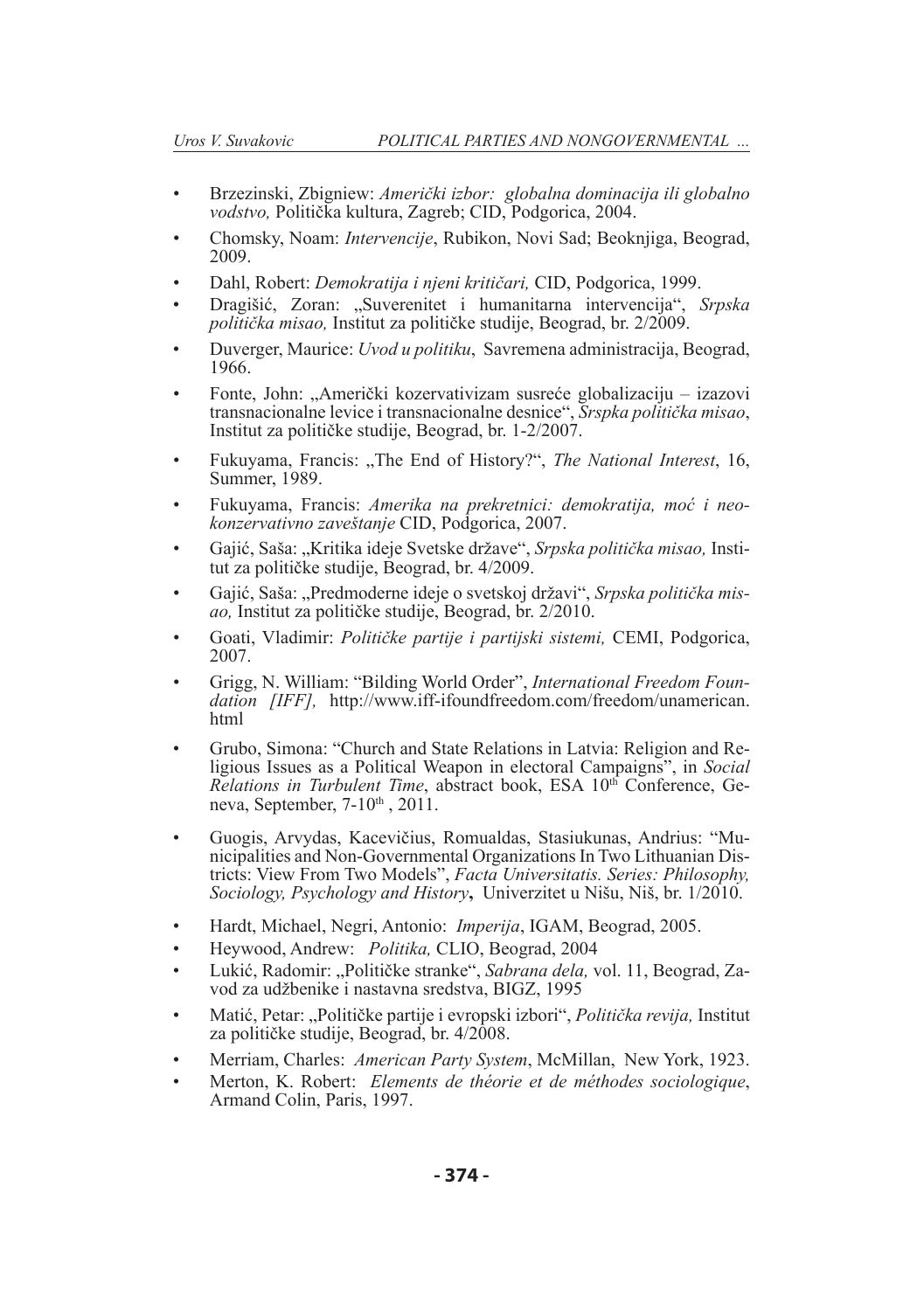- Brzezinski, Zbigniew: *Američki izbor: globalna dominacija ili globalno vodstvo,* Politička kultura, Zagreb; CID, Podgorica, 2004.
- Chomsky, Noam: *Intervencije*, Rubikon, Novi Sad; Beoknjiga, Beograd, 2009.
- Dahl, Robert: *Demokratija i njeni kritičari,* CID, Podgorica, 1999.
- Dragišić, Zoran: "Suverenitet i humanitarna intervencija", *Srpska politička misao,* Institut za političke studije, Beograd, br. 2/2009.
- Duverger, Maurice: *Uvod u politiku*, Savremena administracija, Beograd, 1966.
- Fonte, John: "Američki kozervativizam susreće globalizaciju izazovi transnacionalne levice i transnacionalne desnice", *Srspka politička misao*, Institut za političke studije, Beograd, br. 1-2/2007.
- Fukuyama, Francis: "The End of History?", *The National Interest*, 16, Summer, 1989.
- Fukuyama, Francis: *Amerika na prekretnici: demokratija, moć i neokonzervativno zaveštanje* CID, Podgorica, 2007.
- Gajić, Saša: "Kritika ideje Svetske države", *Srpska politička misao,* Institut za političke studije, Beograd, br. 4/2009.
- Gajić, Saša: "Predmoderne ideje o svetskoj državi", *Srpska politička misao,* Institut za političke studije, Beograd, br. 2/2010.
- Goati, Vladimir: *Političke partije i partijski sistemi,* CEMI, Podgorica, 2007.
- Grigg, N. William: "Bilding World Order", *International Freedom Foun- dation [IFF],* http://www.iff-ifoundfreedom.com/freedom/unamerican. html
- Grubo, Simona: "Church and State Relations in Latvia: Religion and Re- ligious Issues as a Political Weapon in electoral Campaigns", in *Social Relations in Turbulent Time*, abstract book, ESA 10<sup>th</sup> Conference, Geneva, September,  $7-10<sup>th</sup>$ ,  $2011$ .
- Guogis, Arvydas, Kacevičius, Romualdas, Stasiukunas, Andrius: "Municipalities and Non-Governmental Organizations In Two Lithuanian Districts: View From Two Models", *Facta Universitatis. Series: Philosophy, Sociology, Psychology and History***,** Univerzitet u Nišu, Niš, br. 1/2010.
- Hardt, Michael, Negri, Antonio: *Imperija*, IGAM, Beograd, 2005.
- Heywood, Andrew: *Politika,* CLIO, Beograd, 2004
- Lukić, Radomir: "Političke stranke", *Sabrana dela,* vol. 11, Beograd, Zavod za udžbenike i nastavna sredstva, BIGZ, 1995
- Matić, Petar: "Političke partije i evropski izbori", *Politička revija,* Institut za političke studije, Beograd, br. 4/2008.
- Merriam, Charles: *American Party System*, McMillan, New York, 1923.
- Merton, K. Robert: *Elements de théorie et de méthodes sociologique*, Armand Colin, Paris, 1997.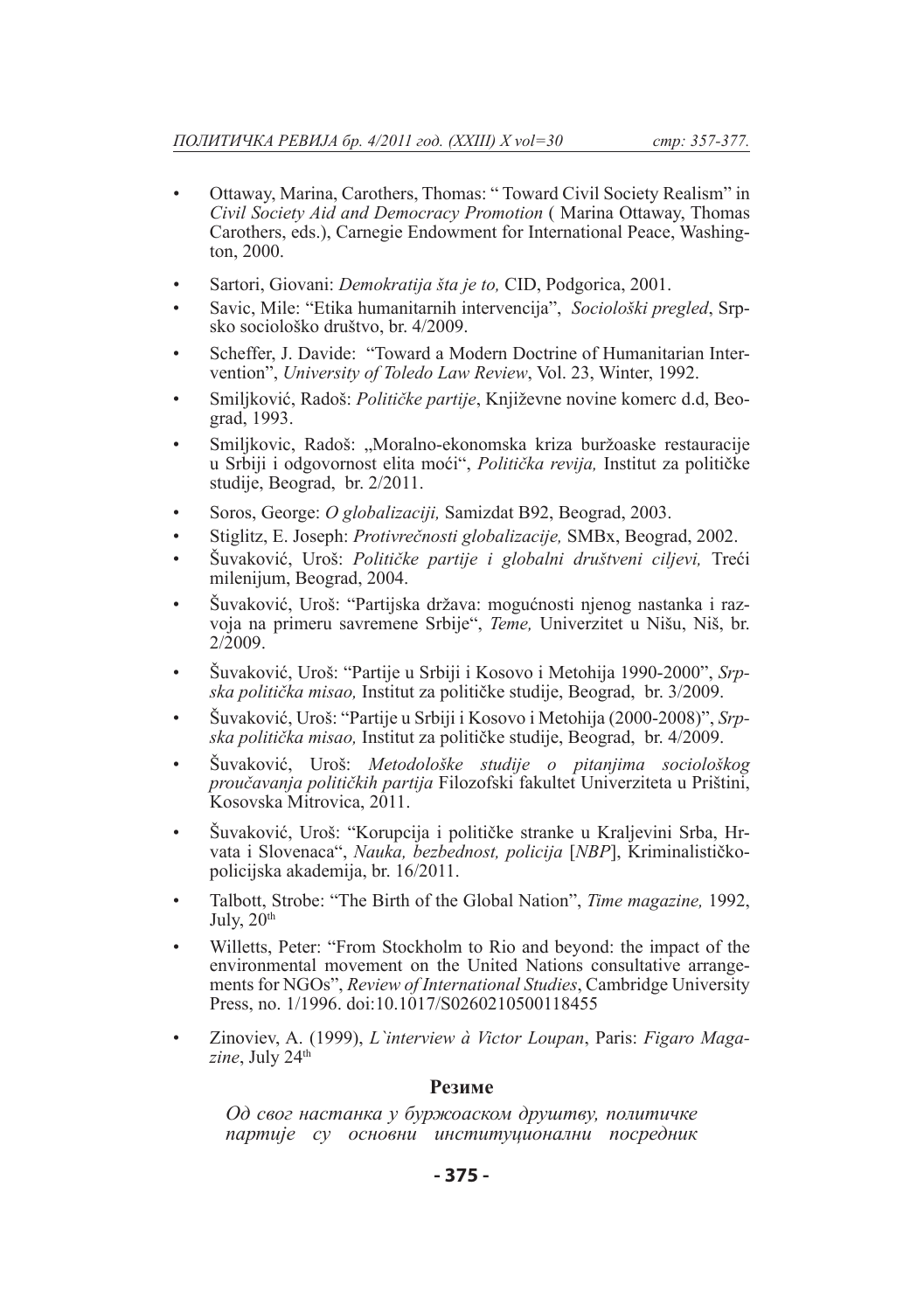- Ottaway, Marina, Carothers, Thomas: " Toward Civil Society Realism" in *Civil Society Aid and Democracy Promotion* ( Marina Ottaway, Thomas Carothers, eds.), Carnegie Endowment for International Peace, Washington, 2000.
- Sartori, Giovani: *Demokratija šta je to,* CID, Podgorica, 2001.
- Savic, Mile: "Etika humanitarnih intervencija", *Sociološki pregled*, Srpsko sociološko društvo, br. 4/2009.
- Scheffer, J. Davide: "Toward a Modern Doctrine of Humanitarian Intervention", *University of Toledo Law Review*, Vol. 23, Winter, 1992.
- Smiljković, Radoš: *Političke partije*, Književne novine komerc d.d, Beograd, 1993.
- Smiljkovic, Radoš: "Moralno-ekonomska kriza buržoaske restauracije u Srbiji i odgovornost elita moći", *Politička revija,* Institut za političke studije, Beograd, br. 2/2011.
- Soros, George: *O globalizaciji,* Samizdat B92, Beograd, 2003.
- Stiglitz, E. Joseph: *Protivrečnosti globalizacije,* SMBx, Beograd, 2002.
- Šuvaković, Uroš: *Političke partije i globalni društveni ciljevi,* Treći milenijum, Beograd, 2004.
- Šuvaković, Uroš: "Partijska država: mogućnosti njenog nastanka i razvoja na primeru savremene Srbije", *Teme,* Univerzitet u Nišu, Niš, br.  $2/2009$ .
- Šuvaković, Uroš: "Partije u Srbiji i Kosovo i Metohija 1990-2000", *Srpska politička misao,* Institut za političke studije, Beograd, br. 3/2009.
- Šuvaković, Uroš: "Partije u Srbiji i Kosovo i Metohija (2000-2008)", *Srpska politička misao,* Institut za političke studije, Beograd, br. 4/2009.
- Šuvaković, Uroš: *Metodološke studije o pitanjima sociološkog proučavanja političkih partija* Filozofski fakultet Univerziteta u Prištini, Kosovska Mitrovica, 2011.
- Šuvaković, Uroš: "Korupcija i političke stranke u Kraljevini Srba, Hrvata i Slovenaca", *Nauka, bezbednost, policija* [*NBP*], Kriminalističkopolicijska akademija, br. 16/2011.
- Talbott, Strobe: "The Birth of the Global Nation", *Time magazine,* 1992, July,  $20<sup>th</sup>$
- Willetts, Peter: "From Stockholm to Rio and beyond: the impact of the environmental movement on the United Nations consultative arrangements for NGOs", *Review of International Studies*, Cambridge University Press, no. 1/1996. doi:10.1017/S0260210500118455
- Zinoviev, A. (1999), *L`interview à Victor Loupan*, Paris: *Figaro Maga*zine, July 24<sup>th</sup>

#### **Резиме**

*Од свог настанка у буржоаском друштву, политичке партије су основни институционални посредник*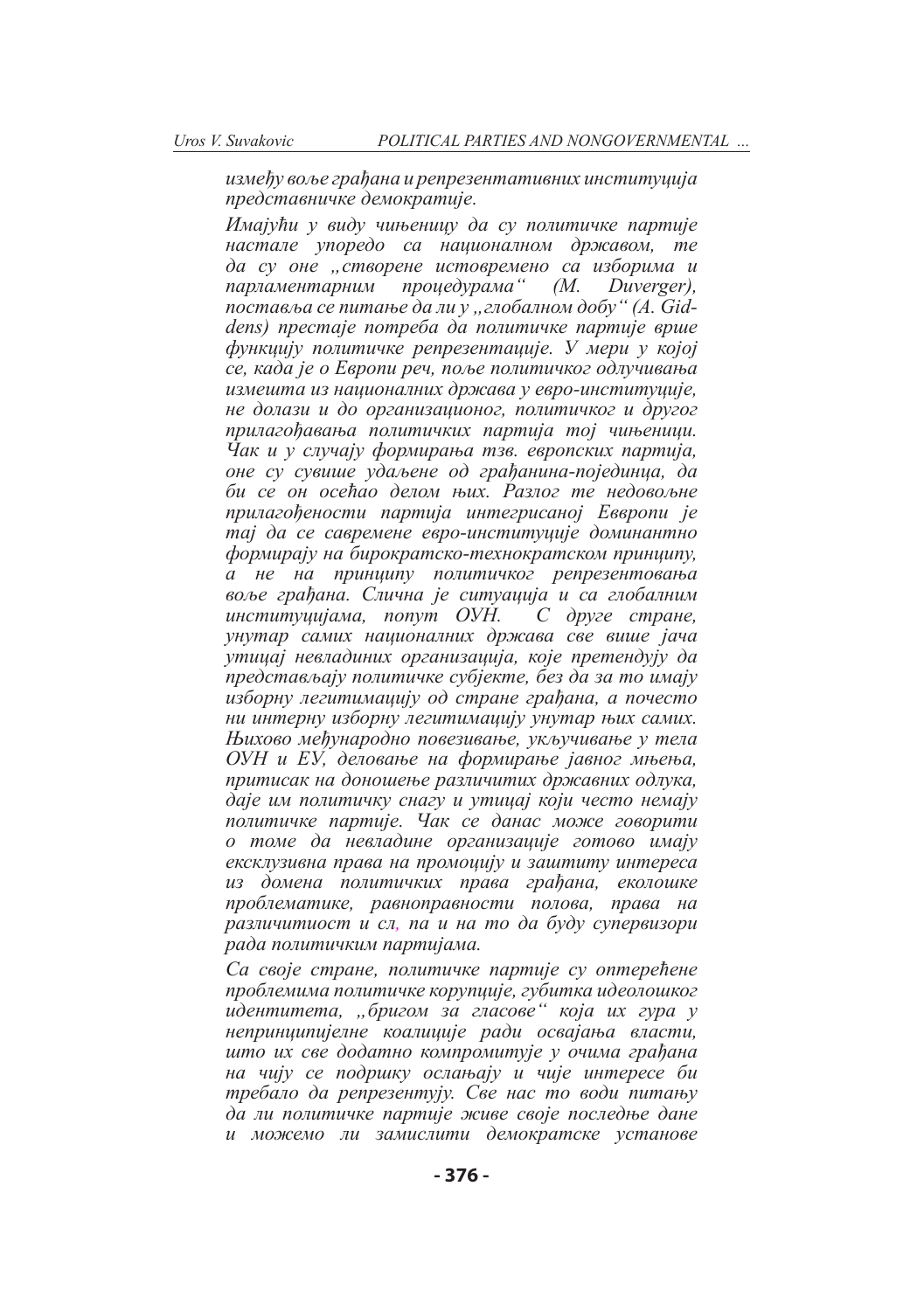*између воље грађана и репрезентативних институција представничке демократије.*

*Имајући у виду чињеницу да су политичке партије настале упоредо са националном државом, те да су оне "створене истовремено са изборима и парламентарним процедурама" (M. Duverger), поставља се питање да ли у "глобалном добу" (A. Giddens) престаје потреба да политичке партије врше функцију политичке репрезентације. У мери у којој се, када је о Европи реч, поље политичког одлучивања измешта из националних држава у евро-институције, не долази и до организационог, политичког и другог прилагођавања политичких партија тој чињеници. Чак и у случају формирања тзв. европских партија, оне су сувише удаљене од грађанина-појединца, да би се он осећао делом њих. Разлог те недовољне прилагођености партија интегрисаној Еввропи је тај да се савремене евро-институције доминантно формирају на бирократско-технократском принципу, а не на принципу политичког репрезентовања воље грађана. Слична је ситуација и са глобалним институцијама, попут ОУН. С друге стране, унутар самих националних држава све више јача утицај невладиних организација, које претендују да представљају политичке субјекте, без да за то имају изборну легитимацију од стране грађана, а почесто ни интерну изборну легитимацију унутар њих самих. Њихово међународно повезивање, укључивање у тела ОУН и ЕУ, деловање на формирање јавног мњења, притисак на доношење различитих државних одлука, даје им политичку снагу и утицај који често немају политичке партије. Чак се данас може говорити о томе да невладине организације готово имају ексклузивна права на промоцију и заштиту интереса из домена политичких права грађана, еколошке проблематике, равноправности полова, права на различитиост и сл, па и на то да буду супервизори рада политичким партијама.*

*Са своје стране, политичке партије су оптерећене проблемима политичке корупције, губитка идеолошког идентитета, "бригом за гласове" која их гура у непринципијелне коалиције ради освајања власти, што их све додатно компромитује у очима грађана на чију се подршку ослањају и чије интересе би требало да репрезентују. Све нас то води питању да ли политичке партије живе своје последње дане и можемо ли замислити демократске установе*